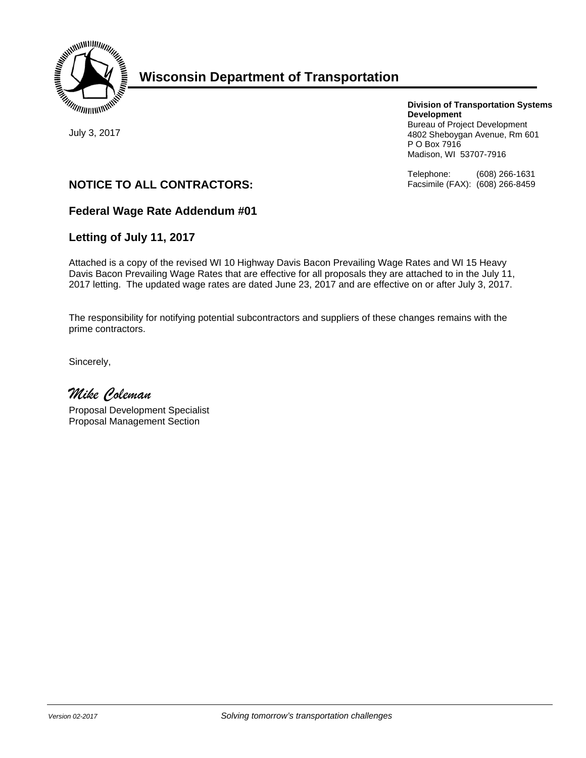

# **Wisconsin Department of Transportation**

July 3, 2017

## **Division of Transportation Systems Development**

Bureau of Project Development 4802 Sheboygan Avenue, Rm 601 P O Box 7916 Madison, WI 53707-7916

Telephone: (608) 266-1631 Facsimile (FAX): (608) 266-8459

# **NOTICE TO ALL CONTRACTORS:**

## **Federal Wage Rate Addendum #01**

## **Letting of July 11, 2017**

Attached is a copy of the revised WI 10 Highway Davis Bacon Prevailing Wage Rates and WI 15 Heavy Davis Bacon Prevailing Wage Rates that are effective for all proposals they are attached to in the July 11, 2017 letting. The updated wage rates are dated June 23, 2017 and are effective on or after July 3, 2017.

The responsibility for notifying potential subcontractors and suppliers of these changes remains with the prime contractors.

Sincerely,

*Mike Coleman* 

Proposal Development Specialist Proposal Management Section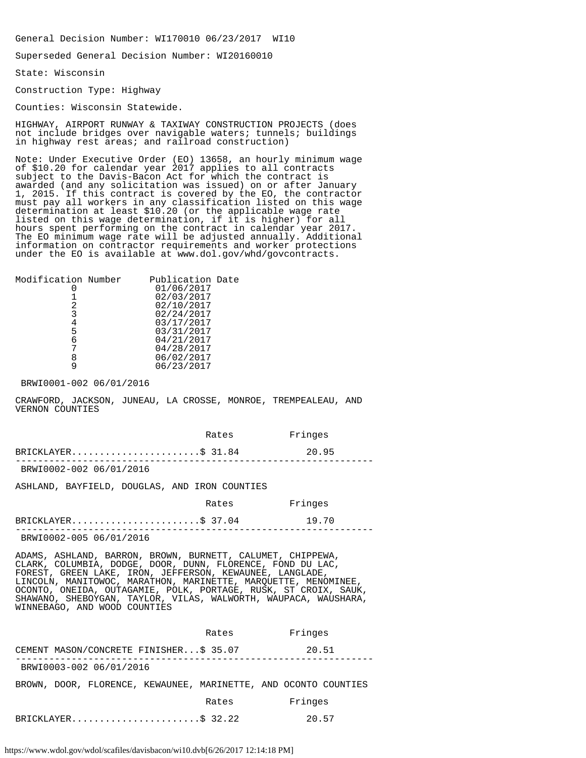General Decision Number: WI170010 06/23/2017 WI10

Superseded General Decision Number: WI20160010

State: Wisconsin

Construction Type: Highway

Counties: Wisconsin Statewide.

HIGHWAY, AIRPORT RUNWAY & TAXIWAY CONSTRUCTION PROJECTS (does not include bridges over navigable waters; tunnels; buildings in highway rest areas; and railroad construction)

Note: Under Executive Order (EO) 13658, an hourly minimum wage of \$10.20 for calendar year 2017 applies to all contracts subject to the Davis-Bacon Act for which the contract is awarded (and any solicitation was issued) on or after January 1, 2015. If this contract is covered by the EO, the contractor must pay all workers in any classification listed on this wage determination at least \$10.20 (or the applicable wage rate listed on this wage determination, if it is higher) for all hours spent performing on the contract in calendar year 2017. The EO minimum wage rate will be adjusted annually. Additional information on contractor requirements and worker protections under the EO is available at www.dol.gov/whd/govcontracts.

| Modification Number | Publication Date |  |
|---------------------|------------------|--|
|                     | 01/06/2017       |  |
|                     | 02/03/2017       |  |
| 2                   | 02/10/2017       |  |
| 3                   | 02/24/2017       |  |
|                     | 03/17/2017       |  |
| 5                   | 03/31/2017       |  |
| 6                   | 04/21/2017       |  |
|                     | 04/28/2017       |  |
|                     | 06/02/2017       |  |
|                     | 06/23/2017       |  |
|                     |                  |  |

BRWI0001-002 06/01/2016

CRAWFORD, JACKSON, JUNEAU, LA CROSSE, MONROE, TREMPEALEAU, AND VERNON COUNTIES

|                         | Rates | Fringes |  |
|-------------------------|-------|---------|--|
| $BRICKLAYER$ \$ 31.84   |       | 20.95   |  |
| BRWI0002-002 06/01/2016 |       |         |  |

ASHLAND, BAYFIELD, DOUGLAS, AND IRON COUNTIES

| Rates | Fringes |
|-------|---------|
|       |         |

BRICKLAYER...........................\$ 37.04 19.70 ----------------------------------------------------------------

BRWI0002-005 06/01/2016

ADAMS, ASHLAND, BARRON, BROWN, BURNETT, CALUMET, CHIPPEWA, CLARK, COLUMBIA, DODGE, DOOR, DUNN, FLORENCE, FOND DU LAC, FOREST, GREEN LAKE, IRON, JEFFERSON, KEWAUNEE, LANGLADE, LINCOLN, MANITOWOC, MARATHON, MARINETTE, MARQUETTE, MENOMINEE, OCONTO, ONEIDA, OUTAGAMIE, POLK, PORTAGE, RUSK, ST CROIX, SAUK, SHAWANO, SHEBOYGAN, TAYLOR, VILAS, WALWORTH, WAUPACA, WAUSHARA, WINNEBAGO, AND WOOD COUNTIES

|                                                                 | Rates | Fringes |
|-----------------------------------------------------------------|-------|---------|
| CEMENT MASON/CONCRETE FINISHER\$ 35.07                          |       | 20.51   |
| BRWI0003-002 06/01/2016                                         |       |         |
| BROWN, DOOR, FLORENCE, KEWAUNEE, MARINETTE, AND OCONTO COUNTIES |       |         |
|                                                                 | Rates | Fringes |
| BRICKLAYER\$ 32.22                                              |       | 20.57   |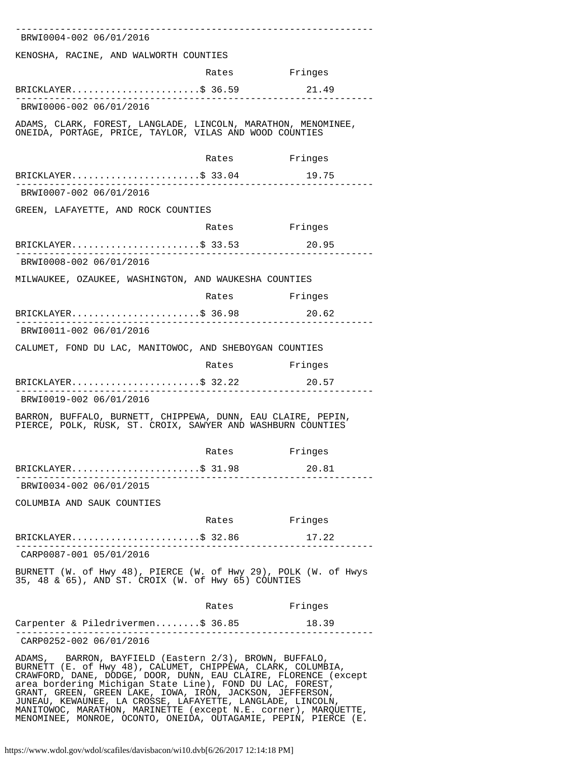| BRWI0004-002 06/01/2016                                                                                                                                                                                                                                                                                                                                                          |       |               |
|----------------------------------------------------------------------------------------------------------------------------------------------------------------------------------------------------------------------------------------------------------------------------------------------------------------------------------------------------------------------------------|-------|---------------|
| KENOSHA, RACINE, AND WALWORTH COUNTIES                                                                                                                                                                                                                                                                                                                                           |       |               |
|                                                                                                                                                                                                                                                                                                                                                                                  | Rates | Fringes       |
| BRICKLAYER\$ 36.59                                                                                                                                                                                                                                                                                                                                                               |       | 21.49         |
| BRWI0006-002 06/01/2016                                                                                                                                                                                                                                                                                                                                                          |       |               |
| ADAMS, CLARK, FOREST, LANGLADE, LINCOLN, MARATHON, MENOMINEE,<br>ONEIDA, PORTAGE, PRICE, TAYLOR, VILAS AND WOOD COUNTIES                                                                                                                                                                                                                                                         |       |               |
|                                                                                                                                                                                                                                                                                                                                                                                  | Rates | Fringes       |
| $BRICKLAYER$ \$ 33.04                                                                                                                                                                                                                                                                                                                                                            |       | 19.75         |
| BRWI0007-002 06/01/2016                                                                                                                                                                                                                                                                                                                                                          |       |               |
| GREEN, LAFAYETTE, AND ROCK COUNTIES                                                                                                                                                                                                                                                                                                                                              |       |               |
|                                                                                                                                                                                                                                                                                                                                                                                  | Rates | Fringes       |
| $BRICKLAYER$ \$ 33.53                                                                                                                                                                                                                                                                                                                                                            |       | 20.95         |
| BRWI0008-002 06/01/2016                                                                                                                                                                                                                                                                                                                                                          |       |               |
| MILWAUKEE, OZAUKEE, WASHINGTON, AND WAUKESHA COUNTIES                                                                                                                                                                                                                                                                                                                            |       |               |
|                                                                                                                                                                                                                                                                                                                                                                                  |       | Rates Fringes |
| BRICKLAYER\$ 36.98                                                                                                                                                                                                                                                                                                                                                               |       | 20.62         |
| BRWI0011-002 06/01/2016                                                                                                                                                                                                                                                                                                                                                          |       |               |
| CALUMET, FOND DU LAC, MANITOWOC, AND SHEBOYGAN COUNTIES                                                                                                                                                                                                                                                                                                                          |       |               |
|                                                                                                                                                                                                                                                                                                                                                                                  | Rates | Fringes       |
| $BRICKLAYER$ \$ 32.22                                                                                                                                                                                                                                                                                                                                                            |       | 20.57         |
| BRWI0019-002 06/01/2016                                                                                                                                                                                                                                                                                                                                                          |       |               |
| BARRON, BUFFALO, BURNETT, CHIPPEWA, DUNN, EAU CLAIRE, PEPIN,<br>PIERCE, POLK, RUSK, ST. CROIX, SAWYER AND WASHBURN COUNTIES                                                                                                                                                                                                                                                      |       |               |
|                                                                                                                                                                                                                                                                                                                                                                                  | Rates | Fringes       |
| BRICKLAYER\$ 31.98                                                                                                                                                                                                                                                                                                                                                               |       | 20.81         |
| BRWI0034-002 06/01/2015                                                                                                                                                                                                                                                                                                                                                          |       |               |
| COLUMBIA AND SAUK COUNTIES                                                                                                                                                                                                                                                                                                                                                       |       |               |
|                                                                                                                                                                                                                                                                                                                                                                                  |       | Rates Fringes |
| BRICKLAYER\$ 32.86                                                                                                                                                                                                                                                                                                                                                               |       | 17.22         |
| ____________________________<br>CARP0087-001 05/01/2016                                                                                                                                                                                                                                                                                                                          |       |               |
| BURNETT (W. of Hwy 48), PIERCE (W. of Hwy 29), POLK (W. of Hwys<br>35, 48 & 65), AND ST. CROIX (W. of Hwy 65) COUNTIES                                                                                                                                                                                                                                                           |       |               |
|                                                                                                                                                                                                                                                                                                                                                                                  | Rates | Fringes       |
| Carpenter & Piledrivermen\$ 36.85                                                                                                                                                                                                                                                                                                                                                |       | 18.39         |
| CARP0252-002 06/01/2016                                                                                                                                                                                                                                                                                                                                                          |       |               |
| ADAMS, BARRON, BAYFIELD (Eastern 2/3), BROWN, BUFFALO,<br>BURNETT (E. of Hwy 48), CALUMET, CHIPPEWA, CLARK, COLUMBIA,<br>CRAWFORD, DANE, DODGE, DOOR, DUNN, EAU CLAIRE, FLORENCE (except<br>area bordering Michigan State Line), FOND DU LAC, FOREST,<br>GRANT, GREEN, GREEN LAKE, IOWA, IRON, JACKSON, JEFFERSON,<br>JUNEAU, KEWAUNEE, LA CROSSE, LAFAYETTE, LANGLADE, LINCOLN, |       |               |

MANITOWOC, MARATHON, MARINETTE (except N.E. corner), MARQUETTE, MENOMINEE, MONROE, OCONTO, ONEIDA, OUTAGAMIE, PEPIN, PIERCE (E.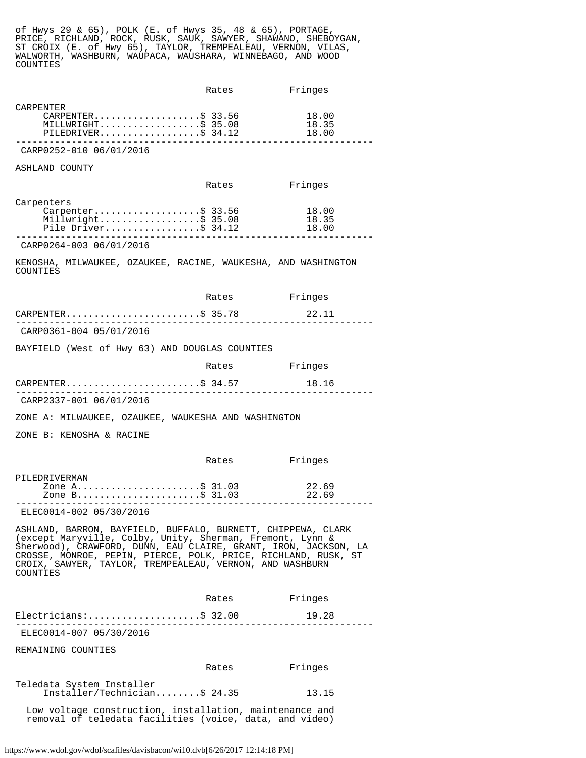of Hwys 29 & 65), POLK (E. of Hwys 35, 48 & 65), PORTAGE, PRICE, RICHLAND, ROCK, RUSK, SAUK, SAWYER, SHAWANO, SHEBOYGAN, ST CROIX (E. of Hwy 65), TAYLOR, TREMPEALEAU, VERNON, VILAS, WALWORTH, WASHBURN, WAUPACA, WAUSHARA, WINNEBAGO, AND WOOD COUNTIES

|                                                                                                                                                                                                                                                                                                                                        | Rates         | Fringes                 |
|----------------------------------------------------------------------------------------------------------------------------------------------------------------------------------------------------------------------------------------------------------------------------------------------------------------------------------------|---------------|-------------------------|
| CARPENTER<br>$CARPENTER.$ \$ 33.56<br>MILLWRIGHT\$ 35.08<br>PILEMRIGHT\$ 34.12                                                                                                                                                                                                                                                         |               | 18.00<br>18.35<br>18.00 |
| CARP0252-010 06/01/2016                                                                                                                                                                                                                                                                                                                |               |                         |
| ASHLAND COUNTY                                                                                                                                                                                                                                                                                                                         |               |                         |
|                                                                                                                                                                                                                                                                                                                                        | Rates         | Fringes                 |
| Carpenters<br>:nters<br>Carpenter\$ 33.56<br>Millwright\$ 35.08<br>r <sup>:1</sup> 0 Driver\$ 34.12                                                                                                                                                                                                                                    |               | 18.00<br>18.35<br>18.00 |
| CARP0264-003 06/01/2016                                                                                                                                                                                                                                                                                                                |               |                         |
| KENOSHA, MILWAUKEE, OZAUKEE, RACINE, WAUKESHA, AND WASHINGTON<br>COUNTIES                                                                                                                                                                                                                                                              |               |                         |
|                                                                                                                                                                                                                                                                                                                                        | Rates Fringes |                         |
| CARPENTER\$ 35.78                                                                                                                                                                                                                                                                                                                      |               | 22.11                   |
| CARP0361-004 05/01/2016                                                                                                                                                                                                                                                                                                                |               |                         |
| BAYFIELD (West of Hwy 63) AND DOUGLAS COUNTIES                                                                                                                                                                                                                                                                                         |               |                         |
|                                                                                                                                                                                                                                                                                                                                        | Rates Fringes |                         |
| CARPENTER\$ 34.57                                                                                                                                                                                                                                                                                                                      |               | 18.16                   |
| CARP2337-001 06/01/2016                                                                                                                                                                                                                                                                                                                |               |                         |
| ZONE A: MILWAUKEE, OZAUKEE, WAUKESHA AND WASHINGTON                                                                                                                                                                                                                                                                                    |               |                         |
| ZONE B: KENOSHA & RACINE                                                                                                                                                                                                                                                                                                               |               |                         |
|                                                                                                                                                                                                                                                                                                                                        | Rates         | Fringes                 |
| PILEDRIVERMAN<br>zone A\$ 31.03<br>Zone B\$ 31.03                                                                                                                                                                                                                                                                                      |               | 22.69<br>22.69          |
| ELEC0014-002 05/30/2016                                                                                                                                                                                                                                                                                                                |               |                         |
| ASHLAND, BARRON, BAYFIELD, BUFFALO, BURNETT, CHIPPEWA, CLARK<br>(except Maryville, Colby, Unity, Sherman, Fremont, Lynn &<br>Sherwood), CRAWFORD, DUNN, EAU CLAIRE, GRANT, IRON, JACKSON, LA<br>CROSSE, MONROE, PEPIN, PIERCE, POLK, PRICE, RICHLAND, RUSK, ST<br>CROIX, SAWYER, TAYLOR, TREMPEALEAU, VERNON, AND WASHBURN<br>COUNTIES |               |                         |
|                                                                                                                                                                                                                                                                                                                                        | Rates         | Fringes                 |
| Electricians:\$ 32.00<br>----------------- <i>----</i> -                                                                                                                                                                                                                                                                               |               | 19.28                   |
| ELEC0014-007 05/30/2016                                                                                                                                                                                                                                                                                                                |               |                         |
| REMAINING COUNTIES                                                                                                                                                                                                                                                                                                                     |               |                         |
|                                                                                                                                                                                                                                                                                                                                        | Rates Fringes |                         |
| Teledata System Installer<br>Installer/Technician\$ 24.35                                                                                                                                                                                                                                                                              |               | 13.15                   |
| Low voltage construction, installation, maintenance and<br>removal of teledata facilities (voice, data, and video)                                                                                                                                                                                                                     |               |                         |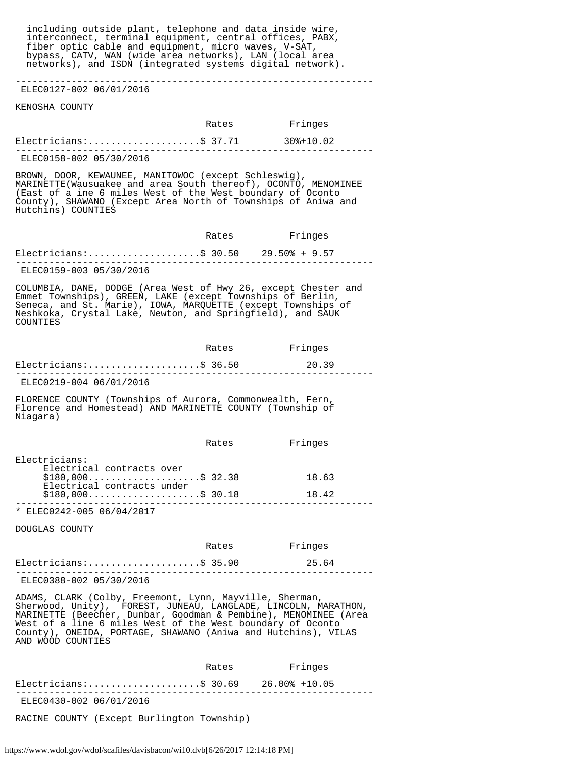including outside plant, telephone and data inside wire, interconnect, terminal equipment, central offices, PABX, fiber optic cable and equipment, micro waves, V-SAT, bypass, CATV, WAN (wide area networks), LAN (local area networks), and ISDN (integrated systems digital network). ---------------------------------------------------------------- ELEC0127-002 06/01/2016 KENOSHA COUNTY Rates Fringes Electricians:....................\$ 37.71 30%+10.02 ---------------------------------------------------------------- ELEC0158-002 05/30/2016 BROWN, DOOR, KEWAUNEE, MANITOWOC (except Schleswig), MARINETTE(Wausuakee and area South thereof), OCONTO, MENOMINEE (East of a ine 6 miles West of the West boundary of Oconto County), SHAWANO (Except Area North of Townships of Aniwa and Hutchins) COUNTIES Rates Fringes Electricians:........................\$ 30.50 29.50% + 9.57 ---------------------------------------------------------------- ELEC0159-003 05/30/2016 COLUMBIA, DANE, DODGE (Area West of Hwy 26, except Chester and Emmet Townships), GREEN, LAKE (except Townships of Berlin, Seneca, and St. Marie), IOWA, MARQUETTE (except Townships of Neshkoka, Crystal Lake, Newton, and Springfield), and SAUK COUNTIES Rates Fringes Electricians:.........................\$ 36.50 20.39 ---------------------------------------------------------------- ELEC0219-004 06/01/2016 FLORENCE COUNTY (Townships of Aurora, Commonwealth, Fern, Florence and Homestead) AND MARINETTE COUNTY (Township of Niagara) Rates Fringes Electricians: Electrical contracts over  $$180,000...$ ...................\$ 32.38 18.63 Electrical contracts under  $$180,000...$ .......................\$ 30.18 18.42 ---------------------------------------------------------------- \* ELEC0242-005 06/04/2017 DOUGLAS COUNTY Rates Fringes Electricians:.......................\$ 35.90 25.64 ---------------------------------------------------------------- ELEC0388-002 05/30/2016 ADAMS, CLARK (Colby, Freemont, Lynn, Mayville, Sherman, Sherwood, Unity), FOREST, JUNEAU, LANGLADE, LINCOLN, MARATHON, MARINETTE (Beecher, Dunbar, Goodman & Pembine), MENOMINEE (Area West of a line 6 miles West of the West boundary of Oconto County), ONEIDA, PORTAGE, SHAWANO (Aniwa and Hutchins), VILAS AND WOOD COUNTIES Rates Fringes Electricians:....................\$ 30.69 26.00% +10.05 ---------------------------------------------------------------- ELEC0430-002 06/01/2016

RACINE COUNTY (Except Burlington Township)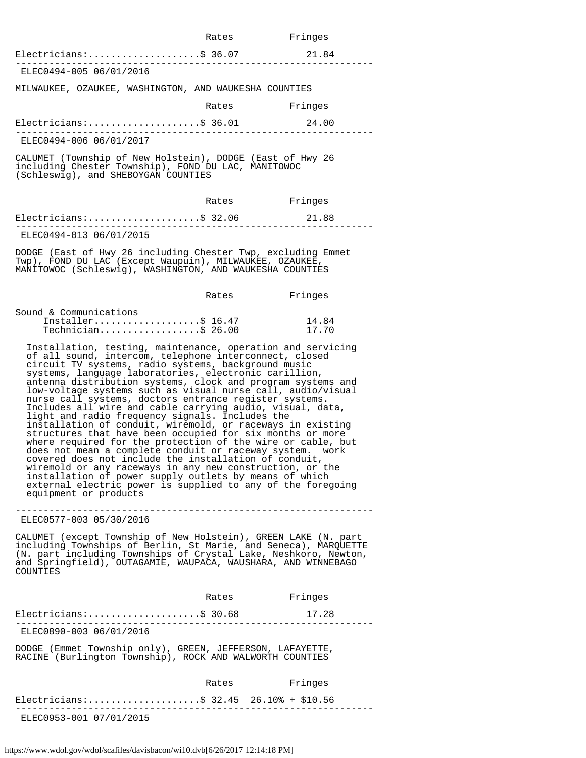|                                                                                                                                                                                                                                                                                                                                                                                                                                                                                                                                                                                                                                                                                                                                                                                                                                                                                                                                                                                                                                                                            | Rates | Fringes        |
|----------------------------------------------------------------------------------------------------------------------------------------------------------------------------------------------------------------------------------------------------------------------------------------------------------------------------------------------------------------------------------------------------------------------------------------------------------------------------------------------------------------------------------------------------------------------------------------------------------------------------------------------------------------------------------------------------------------------------------------------------------------------------------------------------------------------------------------------------------------------------------------------------------------------------------------------------------------------------------------------------------------------------------------------------------------------------|-------|----------------|
| Electricians:\$ 36.07                                                                                                                                                                                                                                                                                                                                                                                                                                                                                                                                                                                                                                                                                                                                                                                                                                                                                                                                                                                                                                                      |       | 21.84          |
| ELEC0494-005 06/01/2016                                                                                                                                                                                                                                                                                                                                                                                                                                                                                                                                                                                                                                                                                                                                                                                                                                                                                                                                                                                                                                                    |       |                |
| MILWAUKEE, OZAUKEE, WASHINGTON, AND WAUKESHA COUNTIES                                                                                                                                                                                                                                                                                                                                                                                                                                                                                                                                                                                                                                                                                                                                                                                                                                                                                                                                                                                                                      |       |                |
|                                                                                                                                                                                                                                                                                                                                                                                                                                                                                                                                                                                                                                                                                                                                                                                                                                                                                                                                                                                                                                                                            | Rates | Fringes        |
| $Electrical as:$ \$ 36.01                                                                                                                                                                                                                                                                                                                                                                                                                                                                                                                                                                                                                                                                                                                                                                                                                                                                                                                                                                                                                                                  |       | 24.00          |
| ELEC0494-006 06/01/2017                                                                                                                                                                                                                                                                                                                                                                                                                                                                                                                                                                                                                                                                                                                                                                                                                                                                                                                                                                                                                                                    |       |                |
| CALUMET (Township of New Holstein), DODGE (East of Hwy 26<br>including Chester Township), FOND DU LAC, MANITOWOC<br>(Schleswig), and SHEBOYGAN COUNTIES                                                                                                                                                                                                                                                                                                                                                                                                                                                                                                                                                                                                                                                                                                                                                                                                                                                                                                                    |       |                |
|                                                                                                                                                                                                                                                                                                                                                                                                                                                                                                                                                                                                                                                                                                                                                                                                                                                                                                                                                                                                                                                                            | Rates | Fringes        |
| $Electricians:$ \$ 32.06                                                                                                                                                                                                                                                                                                                                                                                                                                                                                                                                                                                                                                                                                                                                                                                                                                                                                                                                                                                                                                                   |       | 21.88          |
| ELEC0494-013 06/01/2015                                                                                                                                                                                                                                                                                                                                                                                                                                                                                                                                                                                                                                                                                                                                                                                                                                                                                                                                                                                                                                                    |       |                |
| DODGE (East of Hwy 26 including Chester Twp, excluding Emmet<br>Twp), FOND DU LAC (Except Waupuin), MILWAUKEE, OZAUKEE,<br>MANITOWOC (Schleswig), WASHINGTON, AND WAUKESHA COUNTIES                                                                                                                                                                                                                                                                                                                                                                                                                                                                                                                                                                                                                                                                                                                                                                                                                                                                                        |       |                |
|                                                                                                                                                                                                                                                                                                                                                                                                                                                                                                                                                                                                                                                                                                                                                                                                                                                                                                                                                                                                                                                                            | Rates | Fringes        |
| Sound & Communications<br>Installer\$ 16.47<br>Technician\$ 26.00                                                                                                                                                                                                                                                                                                                                                                                                                                                                                                                                                                                                                                                                                                                                                                                                                                                                                                                                                                                                          |       | 14.84<br>17.70 |
| Installation, testing, maintenance, operation and servicing<br>of all sound, intercom, telephone interconnect, closed<br>circuit TV systems, radio systems, background music<br>systems, language laboratories, electronic carillion,<br>antenna distribution systems, clock and program systems and<br>low-voltage systems such as visual nurse call, audio/visual<br>nurse call systems, doctors entrance register systems.<br>Includes all wire and cable carrying audio, visual, data,<br>light and radio frequency signals. Includes the<br>installation of conduit, wiremold, or raceways in existing<br>structures that have been occupied for six months or more<br>where required for the protection of the wire or cable, but<br>does not mean a complete conduit or raceway system. work<br>covered does not include the installation of conduit,<br>wiremold or any raceways in any new construction, or the<br>installation of power supply outlets by means of which<br>external electric power is supplied to any of the foregoing<br>equipment or products |       |                |
| ELEC0577-003 05/30/2016                                                                                                                                                                                                                                                                                                                                                                                                                                                                                                                                                                                                                                                                                                                                                                                                                                                                                                                                                                                                                                                    |       |                |
| CALUMET (except Township of New Holstein), GREEN LAKE (N. part<br>including Townships of Berlin, St Marie, and Seneca), MARQUETTE<br>(N. part including Townships of Crystal Lake, Neshkoro, Newton,<br>and Springfield), OUTAGAMIE, WAUPACA, WAUSHARA, AND WINNEBAGO<br>COUNTIES                                                                                                                                                                                                                                                                                                                                                                                                                                                                                                                                                                                                                                                                                                                                                                                          |       |                |
|                                                                                                                                                                                                                                                                                                                                                                                                                                                                                                                                                                                                                                                                                                                                                                                                                                                                                                                                                                                                                                                                            | Rates | Fringes        |
| $Electrical as:$ \$ 30.68<br>--------------------------                                                                                                                                                                                                                                                                                                                                                                                                                                                                                                                                                                                                                                                                                                                                                                                                                                                                                                                                                                                                                    |       | 17.28          |
| ELEC0890-003 06/01/2016                                                                                                                                                                                                                                                                                                                                                                                                                                                                                                                                                                                                                                                                                                                                                                                                                                                                                                                                                                                                                                                    |       |                |
| DODGE (Emmet Township only), GREEN, JEFFERSON, LAFAYETTE,<br>RACINE (Burlington Township), ROCK AND WALWORTH COUNTIES                                                                                                                                                                                                                                                                                                                                                                                                                                                                                                                                                                                                                                                                                                                                                                                                                                                                                                                                                      |       |                |
|                                                                                                                                                                                                                                                                                                                                                                                                                                                                                                                                                                                                                                                                                                                                                                                                                                                                                                                                                                                                                                                                            | Rates | Fringes        |
| Electricians:\$ 32.45 26.10% + \$10.56                                                                                                                                                                                                                                                                                                                                                                                                                                                                                                                                                                                                                                                                                                                                                                                                                                                                                                                                                                                                                                     |       |                |
| .<br>ELEC0953-001 07/01/2015                                                                                                                                                                                                                                                                                                                                                                                                                                                                                                                                                                                                                                                                                                                                                                                                                                                                                                                                                                                                                                               |       |                |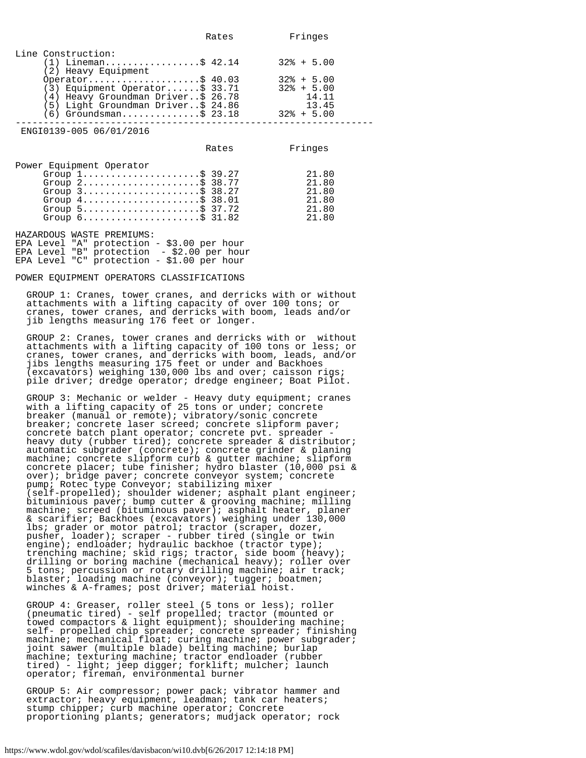|                                                                                                                                                                                                                                                                                                    | Rates | Fringes                                                           |
|----------------------------------------------------------------------------------------------------------------------------------------------------------------------------------------------------------------------------------------------------------------------------------------------------|-------|-------------------------------------------------------------------|
| Line Construction:<br>$(1)$ Lineman\$ 42.14<br>(2) Heavy Equipment<br>Operator\$ $40.03$<br>$(3)$ Equipment Operator\$ 33.71<br>(4) Heavy Groundman Driver\$ 26.78<br>(5) Light Groundman Driver\$ 24.86                                                                                           |       | $32\% + 5.00$<br>$32\% + 5.00$<br>$32\% + 5.00$<br>14.11<br>13.45 |
| $(6)$ Groundsman\$ 23.18                                                                                                                                                                                                                                                                           |       | $32\% + 5.00$                                                     |
| ENGI0139-005 06/01/2016                                                                                                                                                                                                                                                                            |       |                                                                   |
|                                                                                                                                                                                                                                                                                                    | Rates | Fringes                                                           |
| Power Equipment Operator<br>Group $1$ \$ 39.27<br>Group $2$ \$ 38.77<br>Group $3$ \$ 38.27<br>Group $4 \ldots \ldots \ldots \ldots \ldots \ldots$ \$ 38.01<br>Group $5 \ldots \ldots \ldots \ldots \ldots \ldots \text{ } \$37.72$<br>Group $6 \ldots \ldots \ldots \ldots \ldots \ldots$ \$ 31.82 |       | 21.80<br>21.80<br>21.80<br>21.80<br>21.80<br>21.80                |
| HAZARDOUS WASTE PREMIUMS:                                                                                                                                                                                                                                                                          |       |                                                                   |

EPA Level "A" protection - \$3.00 per hour EPA Level "B" protection - \$2.00 per hour EPA Level "C" protection - \$1.00 per hour

## POWER EQUIPMENT OPERATORS CLASSIFICATIONS

 GROUP 1: Cranes, tower cranes, and derricks with or without attachments with a lifting capacity of over 100 tons; or cranes, tower cranes, and derricks with boom, leads and/or jib lengths measuring 176 feet or longer.

 GROUP 2: Cranes, tower cranes and derricks with or without attachments with a lifting capacity of 100 tons or less; or cranes, tower cranes, and derricks with boom, leads, and/or jibs lengths measuring 175 feet or under and Backhoes (excavators) weighing 130,000 lbs and over; caisson rigs; pile driver; dredge operator; dredge engineer; Boat Pilot.

 GROUP 3: Mechanic or welder - Heavy duty equipment; cranes with a lifting capacity of 25 tons or under; concrete breaker (manual or remote); vibratory/sonic concrete breaker; concrete laser screed; concrete slipform paver; concrete batch plant operator; concrete pvt. spreader heavy duty (rubber tired); concrete spreader & distributor; automatic subgrader (concrete); concrete grinder & planing machine; concrete slipform curb & gutter machine; slipform concrete placer; tube finisher; hydro blaster (10,000 psi & over); bridge paver; concrete conveyor system; concrete pump; Rotec type Conveyor; stabilizing mixer (self-propelled); shoulder widener; asphalt plant engineer; bituminious paver; bump cutter & grooving machine; milling machine; screed (bituminous paver); asphalt heater, planer & scarifier; Backhoes (excavators) weighing under 130,000 lbs; grader or motor patrol; tractor (scraper, dozer, pusher, loader); scraper - rubber tired (single or twin engine); endloader; hydraulic backhoe (tractor type); trenching machine; skid rigs; tractor, side boom (heavy); drilling or boring machine (mechanical heavy); roller over 5 tons; percussion or rotary drilling machine; air track; blaster; loading machine (conveyor); tugger; boatmen; winches & A-frames; post driver; material hoist.

 GROUP 4: Greaser, roller steel (5 tons or less); roller (pneumatic tired) - self propelled; tractor (mounted or towed compactors & light equipment); shouldering machine; self- propelled chip spreader; concrete spreader; finishing machine; mechanical float; curing machine; power subgrader; joint sawer (multiple blade) belting machine; burlap machine; texturing machine; tractor endloader (rubber tired) - light; jeep digger; forklift; mulcher; launch operator; fireman, environmental burner

 GROUP 5: Air compressor; power pack; vibrator hammer and extractor; heavy equipment, leadman; tank car heaters; stump chipper; curb machine operator; Concrete proportioning plants; generators; mudjack operator; rock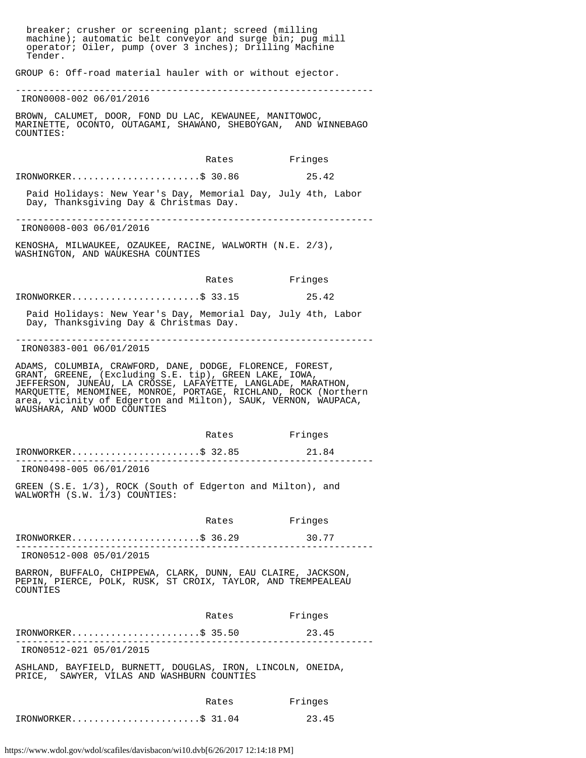breaker; crusher or screening plant; screed (milling machine); automatic belt conveyor and surge bin; pug mill operator; Oiler, pump (over 3 inches); Drilling Machine Tender. GROUP 6: Off-road material hauler with or without ejector. ---------------------------------------------------------------- IRON0008-002 06/01/2016 BROWN, CALUMET, DOOR, FOND DU LAC, KEWAUNEE, MANITOWOC, MARINETTE, OCONTO, OUTAGAMI, SHAWANO, SHEBOYGAN, AND WINNEBAGO COUNTIES: Rates Fringes IRONWORKER.......................\$ 30.86 25.42 Paid Holidays: New Year's Day, Memorial Day, July 4th, Labor Day, Thanksgiving Day & Christmas Day. ---------------------------------------------------------------- IRON0008-003 06/01/2016 KENOSHA, MILWAUKEE, OZAUKEE, RACINE, WALWORTH (N.E. 2/3), WASHINGTON, AND WAUKESHA COUNTIES Rates Fringes IRONWORKER.......................\$ 33.15 25.42 Paid Holidays: New Year's Day, Memorial Day, July 4th, Labor Day, Thanksgiving Day & Christmas Day. ---------------------------------------------------------------- IRON0383-001 06/01/2015 ADAMS, COLUMBIA, CRAWFORD, DANE, DODGE, FLORENCE, FOREST, GRANT, GREENE, (Excluding S.E. tip), GREEN LAKE, IOWA, JEFFERSON, JUNEAU, LA CROSSE, LAFAYETTE, LANGLADE, MARATHON, MARQUETTE, MENOMINEE, MONROE, PORTAGE, RICHLAND, ROCK (Northern area, vicinity of Edgerton and Milton), SAUK, VERNON, WAUPACA, WAUSHARA, AND WOOD COUNTIES Rates Fringes IRONWORKER.......................\$ 32.85 21.84 ---------------------------------------------------------------- IRON0498-005 06/01/2016 GREEN (S.E. 1/3), ROCK (South of Edgerton and Milton), and WALWORTH (S.W. 1/3) COUNTIES: Rates Fringes IRONWORKER.......................\$ 36.29 30.77 ---------------------------------------------------------------- IRON0512-008 05/01/2015 BARRON, BUFFALO, CHIPPEWA, CLARK, DUNN, EAU CLAIRE, JACKSON, PEPIN, PIERCE, POLK, RUSK, ST CROIX, TAYLOR, AND TREMPEALEAU **COUNTIES**  Rates Fringes IRONWORKER.......................\$ 35.50 23.45 ---------------------------------------------------------------- IRON0512-021 05/01/2015 ASHLAND, BAYFIELD, BURNETT, DOUGLAS, IRON, LINCOLN, ONEIDA, PRICE, SAWYER, VILAS AND WASHBURN COUNTIES Rates Fringes IRONWORKER.......................\$ 31.04 23.45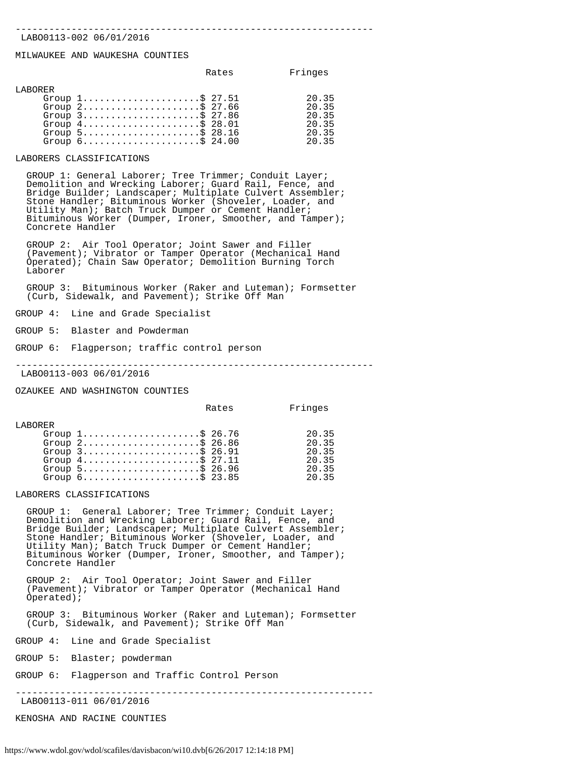#### ---------------------------------------------------------------- LABO0113-002 06/01/2016

#### MILWAUKEE AND WAUKESHA COUNTIES

|         |                                                                    | Rates | Fringes |
|---------|--------------------------------------------------------------------|-------|---------|
| LABORER |                                                                    |       |         |
|         | Group $1, \ldots, \ldots, \ldots, \ldots, \$ 27.51                 |       | 20.35   |
|         | Group $2$ \$ 27.66                                                 |       | 20.35   |
|         | Group $3$ \$ 27.86                                                 |       | 20.35   |
|         | Group $4 \ldots \ldots \ldots \ldots \ldots \ldots \$ 28.01        |       | 20.35   |
|         | Group $5 \ldots \ldots \ldots \ldots \ldots \ldots \$ 28.16        |       | 20.35   |
|         | Group $6 \ldots \ldots \ldots \ldots \ldots \ldots \text{S}$ 24.00 |       | 20.35   |

#### LABORERS CLASSIFICATIONS

 GROUP 1: General Laborer; Tree Trimmer; Conduit Layer; Demolition and Wrecking Laborer; Guard Rail, Fence, and Bridge Builder; Landscaper; Multiplate Culvert Assembler; Stone Handler; Bituminous Worker (Shoveler, Loader, and Utility Man); Batch Truck Dumper or Cement Handler; Bituminous Worker (Dumper, Ironer, Smoother, and Tamper); Concrete Handler

 GROUP 2: Air Tool Operator; Joint Sawer and Filler (Pavement); Vibrator or Tamper Operator (Mechanical Hand Operated); Chain Saw Operator; Demolition Burning Torch Laborer

 GROUP 3: Bituminous Worker (Raker and Luteman); Formsetter (Curb, Sidewalk, and Pavement); Strike Off Man

GROUP 4: Line and Grade Specialist

GROUP 5: Blaster and Powderman

GROUP 6: Flagperson; traffic control person

----------------------------------------------------------------

LABO0113-003 06/01/2016

OZAUKEE AND WASHINGTON COUNTIES

Rates Fringes

| Group $1, \ldots, \ldots, \ldots, \ldots, \$ 26.76                 | 20.35 |
|--------------------------------------------------------------------|-------|
| Group $2$ \$ 26.86                                                 | 20.35 |
| Group $3$                                                          | 2035  |
| Group $4 \ldots \ldots \ldots \ldots \ldots \ldots \text{ } 27.11$ | 2035  |
| Group $5$                                                          | 2035  |
| Group $6 \ldots \ldots \ldots \ldots \ldots \ldots \text{S}$ 23.85 | 2035  |

LABORERS CLASSIFICATIONS

 GROUP 1: General Laborer; Tree Trimmer; Conduit Layer; Demolition and Wrecking Laborer; Guard Rail, Fence, and Bridge Builder; Landscaper; Multiplate Culvert Assembler; Stone Handler; Bituminous Worker (Shoveler, Loader, and Utility Man); Batch Truck Dumper or Cement Handler; Bituminous Worker (Dumper, Ironer, Smoother, and Tamper); Concrete Handler

 GROUP 2: Air Tool Operator; Joint Sawer and Filler (Pavement); Vibrator or Tamper Operator (Mechanical Hand Operated);

 GROUP 3: Bituminous Worker (Raker and Luteman); Formsetter (Curb, Sidewalk, and Pavement); Strike Off Man

GROUP 4: Line and Grade Specialist

GROUP 5: Blaster; powderman

GROUP 6: Flagperson and Traffic Control Person

----------------------------------------------------------------

LABO0113-011 06/01/2016

KENOSHA AND RACINE COUNTIES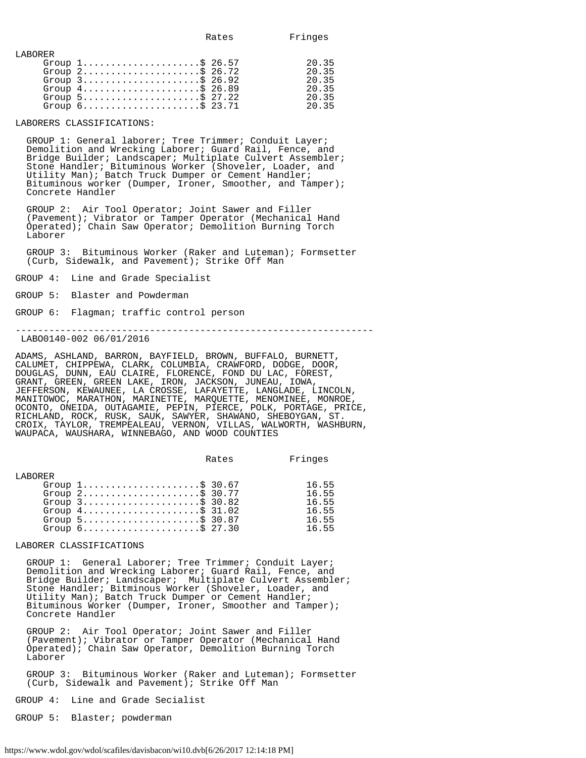| ------ |                                                                    |       |
|--------|--------------------------------------------------------------------|-------|
|        | Group $1, \ldots, \ldots, \ldots, \ldots, \$ 26.57                 | 20.35 |
|        | Group $2 \ldots \ldots \ldots \ldots \ldots \ldots \$ 26.72        | 20.35 |
|        | Group $3$                                                          | 20.35 |
|        | Group $4 \ldots \ldots \ldots \ldots \ldots \ldots \text{S}$ 26.89 | 2035  |
|        | Group $5 \ldots \ldots \ldots \ldots \ldots \ldots \$ 27.22        | 20.35 |
|        | Group $6 \ldots \ldots \ldots \ldots \ldots \ldots \text{S}$ 23.71 | 2035  |
|        |                                                                    |       |

#### LABORERS CLASSIFICATIONS:

LABORER

 GROUP 1: General laborer; Tree Trimmer; Conduit Layer; Demolition and Wrecking Laborer; Guard Rail, Fence, and Bridge Builder; Landscaper; Multiplate Culvert Assembler; Stone Handler; Bituminous Worker (Shoveler, Loader, and Utility Man); Batch Truck Dumper or Cement Handler; Bituminous worker (Dumper, Ironer, Smoother, and Tamper); Concrete Handler

 GROUP 2: Air Tool Operator; Joint Sawer and Filler (Pavement); Vibrator or Tamper Operator (Mechanical Hand Operated); Chain Saw Operator; Demolition Burning Torch Laborer

 GROUP 3: Bituminous Worker (Raker and Luteman); Formsetter (Curb, Sidewalk, and Pavement); Strike Off Man

GROUP 4: Line and Grade Specialist

GROUP 5: Blaster and Powderman

GROUP 6: Flagman; traffic control person

----------------------------------------------------------------

LABO0140-002 06/01/2016

ADAMS, ASHLAND, BARRON, BAYFIELD, BROWN, BUFFALO, BURNETT, CALUMET, CHIPPEWA, CLARK, COLUMBIA, CRAWFORD, DODGE, DOOR, DOUGLAS, DUNN, EAU CLAIRE, FLORENCE, FOND DU LAC, FOREST, GRANT, GREEN, GREEN LAKE, IRON, JACKSON, JUNEAU, IOWA, JEFFERSON, KEWAUNEE, LA CROSSE, LAFAYETTE, LANGLADE, LINCOLN, MANITOWOC, MARATHON, MARINETTE, MARQUETTE, MENOMINEE, MONROE, OCONTO, ONEIDA, OUTAGAMIE, PEPIN, PIERCE, POLK, PORTAGE, PRICE, RICHLAND, ROCK, RUSK, SAUK, SAWYER, SHAWANO, SHEBOYGAN, ST. CROIX, TAYLOR, TREMPEALEAU, VERNON, VILLAS, WALWORTH, WASHBURN, WAUPACA, WAUSHARA, WINNEBAGO, AND WOOD COUNTIES

|          |                                                                                                                                                                                                                                                    | Rates | Fringes                                            |
|----------|----------------------------------------------------------------------------------------------------------------------------------------------------------------------------------------------------------------------------------------------------|-------|----------------------------------------------------|
| T.ARORER | Group $1, \ldots, \ldots, \ldots, \ldots, \$ 30.67<br>Group $2$ \$ 30.77<br>Group $3$ ; $30.82$<br>Group $4 \ldots \ldots \ldots \ldots \ldots \ldots$ \$ 31.02<br>Group $5$<br>Group $6 \ldots \ldots \ldots \ldots \ldots \ldots \text{S}$ 27.30 |       | 16.55<br>16.55<br>16.55<br>16.55<br>16.55<br>16.55 |
|          |                                                                                                                                                                                                                                                    |       |                                                    |

LABORER CLASSIFICATIONS

 GROUP 1: General Laborer; Tree Trimmer; Conduit Layer; Demolition and Wrecking Laborer; Guard Rail, Fence, and Bridge Builder; Landscaper; Multiplate Culvert Assembler; Stone Handler; Bitminous Worker (Shoveler, Loader, and Utility Man); Batch Truck Dumper or Cement Handler; Bituminous Worker (Dumper, Ironer, Smoother and Tamper); Concrete Handler

 GROUP 2: Air Tool Operator; Joint Sawer and Filler (Pavement); Vibrator or Tamper Operator (Mechanical Hand Operated); Chain Saw Operator, Demolition Burning Torch Laborer

 GROUP 3: Bituminous Worker (Raker and Luteman); Formsetter (Curb, Sidewalk and Pavement); Strike Off Man

GROUP 4: Line and Grade Secialist

GROUP 5: Blaster; powderman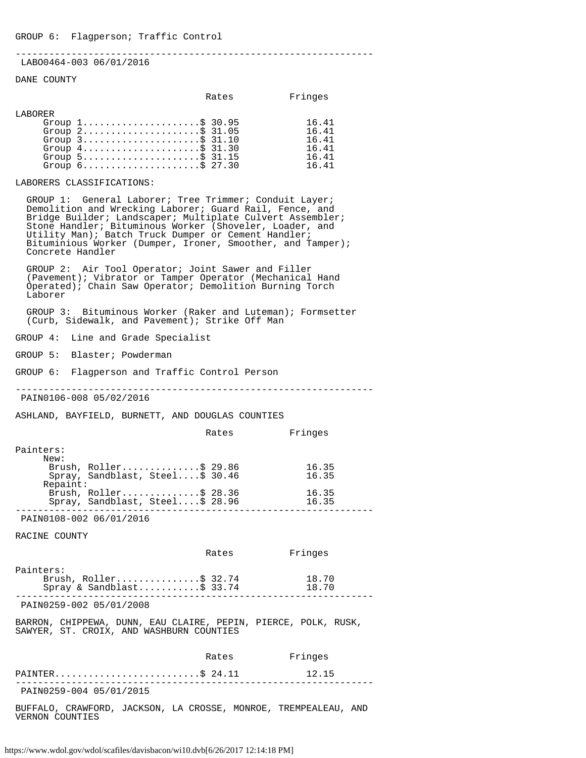----------------------------------------------------------------

## LABO0464-003 06/01/2016

#### DANE COUNTY

|          |                                                                    | Rates | Fringes |
|----------|--------------------------------------------------------------------|-------|---------|
| T.ARORER |                                                                    |       |         |
|          | Group $1, \ldots, \ldots, \ldots, \ldots, \$ 30.95                 |       | 16.41   |
|          | Group $2, \ldots, \ldots, \ldots, \ldots, \dot{S}$ 31.05           |       | 16.41   |
|          | Group $3$ \$ 31.10                                                 |       | 16.41   |
|          | Group $4 \ldots \ldots \ldots \ldots \ldots \ldots \text{S}$ 31.30 |       | 16.41   |
|          | Group $5$                                                          |       | 16.41   |
|          | Group $6 \ldots \ldots \ldots \ldots \ldots \ldots \$ 27.30        |       | 16.41   |

## LABORERS CLASSIFICATIONS:

 GROUP 1: General Laborer; Tree Trimmer; Conduit Layer; Demolition and Wrecking Laborer; Guard Rail, Fence, and Bridge Builder; Landscaper; Multiplate Culvert Assembler; Stone Handler; Bituminous Worker (Shoveler, Loader, and Utility Man); Batch Truck Dumper or Cement Handler; Bituminious Worker (Dumper, Ironer, Smoother, and Tamper); Concrete Handler

 GROUP 2: Air Tool Operator; Joint Sawer and Filler (Pavement); Vibrator or Tamper Operator (Mechanical Hand Operated); Chain Saw Operator; Demolition Burning Torch Laborer

 GROUP 3: Bituminous Worker (Raker and Luteman); Formsetter (Curb, Sidewalk, and Pavement); Strike Off Man

GROUP 4: Line and Grade Specialist

GROUP 5: Blaster; Powderman

GROUP 6: Flagperson and Traffic Control Person

----------------------------------------------------------------

PAIN0106-008 05/02/2016

ASHLAND, BAYFIELD, BURNETT, AND DOUGLAS COUNTIES

|           |                                 | Rates | Fringes |
|-----------|---------------------------------|-------|---------|
| Painters: |                                 |       |         |
| New:      |                                 |       |         |
|           | Brush, Roller\$ 29.86           |       | 16.35   |
|           | Spray, Sandblast, Steel\$ 30.46 |       | 16.35   |
| Repaint:  |                                 |       |         |
|           | Brush, $Roller$ \$ 28.36        |       | 16.35   |
|           | Spray, Sandblast, Steel\$ 28.96 |       | 16.35   |
|           |                                 |       |         |

PAIN0108-002 06/01/2016

RACINE COUNTY

|                                                                    | Rates | Fringes        |  |
|--------------------------------------------------------------------|-------|----------------|--|
| Painters:<br>Brush, $Roller$ \$ 32.74<br>Spray & Sandblast\$ 33.74 |       | 18.70<br>18.70 |  |
| PAIN0259-002 05/01/2008                                            |       |                |  |

BARRON, CHIPPEWA, DUNN, EAU CLAIRE, PEPIN, PIERCE, POLK, RUSK, SAWYER, ST. CROIX, AND WASHBURN COUNTIES

|                         | Rates | Fringes |  |
|-------------------------|-------|---------|--|
| PAINTER\$ $24.11$       |       | 12.15   |  |
| PAIN0259-004 05/01/2015 |       |         |  |

BUFFALO, CRAWFORD, JACKSON, LA CROSSE, MONROE, TREMPEALEAU, AND VERNON COUNTIES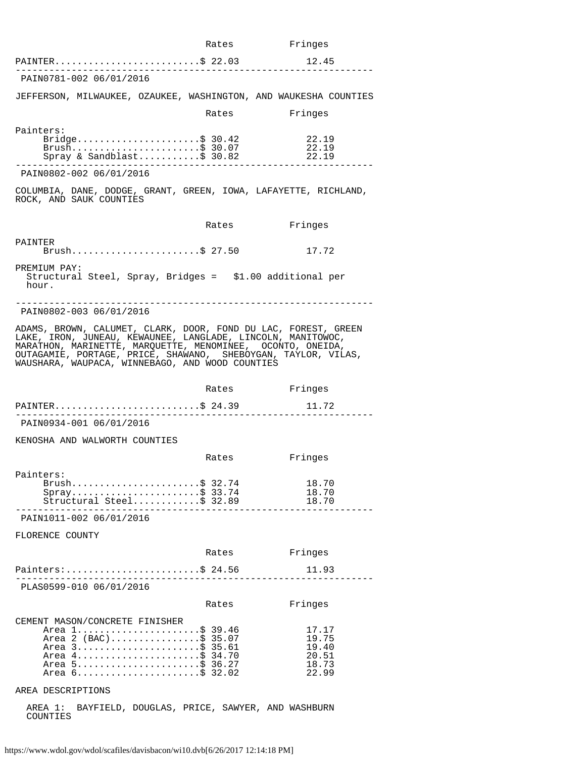|                                                                                                                                                                                                                                                                                                                 | Rates         | Fringes        |
|-----------------------------------------------------------------------------------------------------------------------------------------------------------------------------------------------------------------------------------------------------------------------------------------------------------------|---------------|----------------|
| PAINTER\$ 22.03                                                                                                                                                                                                                                                                                                 |               | 12.45          |
| PAIN0781-002 06/01/2016                                                                                                                                                                                                                                                                                         |               |                |
| JEFFERSON, MILWAUKEE, OZAUKEE, WASHINGTON, AND WAUKESHA COUNTIES                                                                                                                                                                                                                                                |               |                |
|                                                                                                                                                                                                                                                                                                                 | Rates         | Fringes        |
| Painters:                                                                                                                                                                                                                                                                                                       |               |                |
| Bridge\$ 30.42<br>Brush\$ 30.07                                                                                                                                                                                                                                                                                 |               | 22.19          |
| Spray & Sandblast\$ 30.82                                                                                                                                                                                                                                                                                       |               | 22.19<br>22.19 |
| PAIN0802-002 06/01/2016                                                                                                                                                                                                                                                                                         |               |                |
| COLUMBIA, DANE, DODGE, GRANT, GREEN, IOWA, LAFAYETTE, RICHLAND,<br>ROCK, AND SAUK COUNTIES                                                                                                                                                                                                                      |               |                |
|                                                                                                                                                                                                                                                                                                                 | Rates         | Fringes        |
| PAINTER<br>Brush\$ 27.50                                                                                                                                                                                                                                                                                        |               | 17.72          |
| PREMIUM PAY:<br>Structural Steel, Spray, Bridges = \$1.00 additional per<br>hour.                                                                                                                                                                                                                               |               |                |
| PAIN0802-003 06/01/2016                                                                                                                                                                                                                                                                                         |               |                |
| ADAMS, BROWN, CALUMET, CLARK, DOOR, FOND DU LAC, FOREST, GREEN<br>LAKE, IRON, JUNEAU, KEWAUNEE, LANGLADE, LINCOLN, MANITOWOC,<br>MARATHON, MARINETTE, MARQUETTE, MENOMINEE, OCONTO, ONEIDA,<br>OUTAGAMIE, PORTAGE, PRICE, SHAWANO, SHEBOYGAN, TAYLOR, VILAS,<br>WAUSHARA, WAUPACA, WINNEBAGO, AND WOOD COUNTIES |               |                |
|                                                                                                                                                                                                                                                                                                                 | Rates Fringes |                |
| PAINTER\$ 24.39                                                                                                                                                                                                                                                                                                 |               | 11.72          |
| PAIN0934-001 06/01/2016                                                                                                                                                                                                                                                                                         |               |                |
| KENOSHA AND WALWORTH COUNTIES                                                                                                                                                                                                                                                                                   |               |                |
|                                                                                                                                                                                                                                                                                                                 | Rates         | Fringes        |
| Painters:                                                                                                                                                                                                                                                                                                       |               |                |
| Brush\$ 32.74<br>$Spray$ \$ 33.74                                                                                                                                                                                                                                                                               |               | 18.70<br>18.70 |
| Structural Steel\$ 32.89                                                                                                                                                                                                                                                                                        |               | 18.70          |
| PAIN1011-002 06/01/2016                                                                                                                                                                                                                                                                                         |               |                |
| FLORENCE COUNTY                                                                                                                                                                                                                                                                                                 |               |                |
|                                                                                                                                                                                                                                                                                                                 | Rates         | Fringes        |
| Painters:\$ 24.56                                                                                                                                                                                                                                                                                               |               | 11.93          |
| ________________________<br>PLAS0599-010 06/01/2016                                                                                                                                                                                                                                                             |               |                |
|                                                                                                                                                                                                                                                                                                                 | Rates         | Fringes        |
| CEMENT MASON/CONCRETE FINISHER                                                                                                                                                                                                                                                                                  |               |                |
| Area 1\$ 39.46<br>Area 2 (BAC)\$ 35.07                                                                                                                                                                                                                                                                          |               | 17.17<br>19.75 |
| Area 3\$ 35.61                                                                                                                                                                                                                                                                                                  |               | 19.40          |
| Area 4\$ 34.70<br>Area 5\$ 36.27                                                                                                                                                                                                                                                                                |               | 20.51<br>18.73 |
| Area 6\$ 32.02                                                                                                                                                                                                                                                                                                  |               | 22.99          |
| AREA DESCRIPTIONS                                                                                                                                                                                                                                                                                               |               |                |

 AREA 1: BAYFIELD, DOUGLAS, PRICE, SAWYER, AND WASHBURN COUNTIES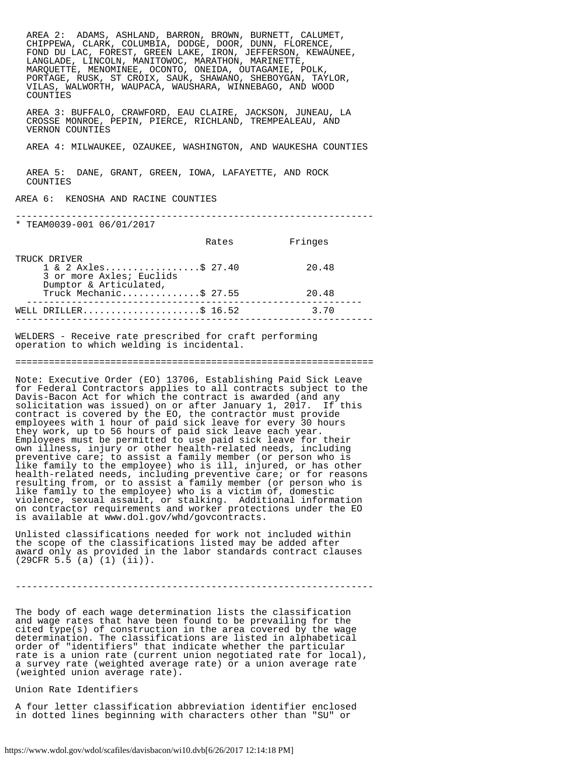AREA 2: ADAMS, ASHLAND, BARRON, BROWN, BURNETT, CALUMET, CHIPPEWA, CLARK, COLUMBIA, DODGE, DOOR, DUNN, FLORENCE, FOND DU LAC, FOREST, GREEN LAKE, IRON, JEFFERSON, KEWAUNEE, LANGLADE, LINCOLN, MANITOWOC, MARATHON, MARINETTE, MARQUETTE, MENOMINEE, OCONTO, ONEIDA, OUTAGAMIE, POLK, PORTAGE, RUSK, ST CROIX, SAUK, SHAWANO, SHEBOYGAN, TAYLOR, VILAS, WALWORTH, WAUPACA, WAUSHARA, WINNEBAGO, AND WOOD COUNTIES AREA 3: BUFFALO, CRAWFORD, EAU CLAIRE, JACKSON, JUNEAU, LA CROSSE MONROE, PEPIN, PIERCE, RICHLAND, TREMPEALEAU, AND VERNON COUNTIES AREA 4: MILWAUKEE, OZAUKEE, WASHINGTON, AND WAUKESHA COUNTIES AREA 5: DANE, GRANT, GREEN, IOWA, LAFAYETTE, AND ROCK COUNTIES AREA 6: KENOSHA AND RACINE COUNTIES ---------------------------------------------------------------- \* TEAM0039-001 06/01/2017 Rates Fringes TRUCK DRIVER 1 & 2 Axles.................\$ 27.40 20.48 3 or more Axles; Euclids Dumptor & Articulated, Truck Mechanic...............\$ 27.55 20.48 ------------------------------------------------------------ WELL DRILLER.....................\$ 16.52 3.70 ----------------------------------------------------------------

WELDERS - Receive rate prescribed for craft performing operation to which welding is incidental.

#### ================================================================

Note: Executive Order (EO) 13706, Establishing Paid Sick Leave for Federal Contractors applies to all contracts subject to the Davis-Bacon Act for which the contract is awarded (and any solicitation was issued) on or after January 1, 2017. If this contract is covered by the EO, the contractor must provide employees with 1 hour of paid sick leave for every 30 hours they work, up to 56 hours of paid sick leave each year. Employees must be permitted to use paid sick leave for their own illness, injury or other health-related needs, including preventive care; to assist a family member (or person who is like family to the employee) who is ill, injured, or has other health-related needs, including preventive care; or for reasons resulting from, or to assist a family member (or person who is like family to the employee) who is a victim of, domestic violence, sexual assault, or stalking. Additional information on contractor requirements and worker protections under the EO is available at www.dol.gov/whd/govcontracts.

Unlisted classifications needed for work not included within the scope of the classifications listed may be added after award only as provided in the labor standards contract clauses (29CFR 5.5 (a) (1) (ii)).

----------------------------------------------------------------

The body of each wage determination lists the classification and wage rates that have been found to be prevailing for the cited type(s) of construction in the area covered by the wage determination. The classifications are listed in alphabetical order of "identifiers" that indicate whether the particular rate is a union rate (current union negotiated rate for local), a survey rate (weighted average rate) or a union average rate (weighted union average rate).

Union Rate Identifiers

A four letter classification abbreviation identifier enclosed in dotted lines beginning with characters other than "SU" or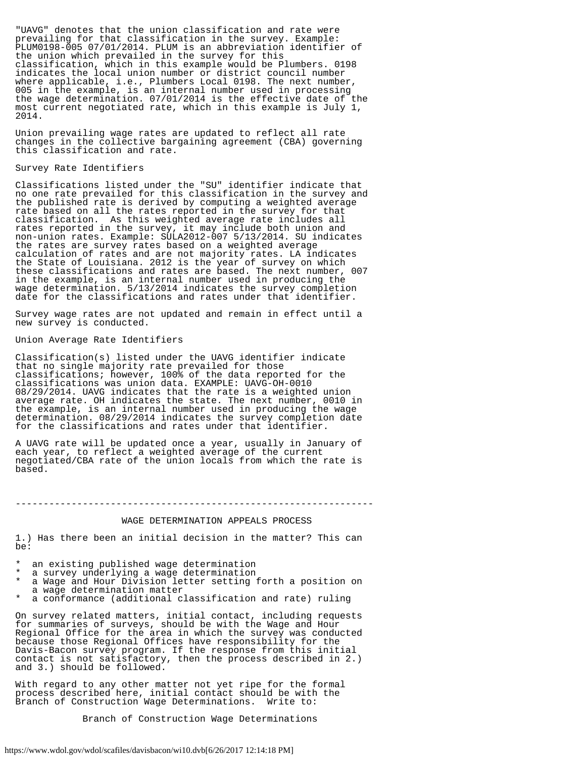"UAVG" denotes that the union classification and rate were prevailing for that classification in the survey. Example: PLUM0198-005 07/01/2014. PLUM is an abbreviation identifier of the union which prevailed in the survey for this classification, which in this example would be Plumbers. 0198 indicates the local union number or district council number where applicable, i.e., Plumbers Local 0198. The next number, 005 in the example, is an internal number used in processing the wage determination. 07/01/2014 is the effective date of the most current negotiated rate, which in this example is July 1, 2014.

Union prevailing wage rates are updated to reflect all rate changes in the collective bargaining agreement (CBA) governing this classification and rate.

#### Survey Rate Identifiers

Classifications listed under the "SU" identifier indicate that no one rate prevailed for this classification in the survey and the published rate is derived by computing a weighted average rate based on all the rates reported in the survey for that classification. As this weighted average rate includes all rates reported in the survey, it may include both union and non-union rates. Example: SULA2012-007 5/13/2014. SU indicates the rates are survey rates based on a weighted average calculation of rates and are not majority rates. LA indicates the State of Louisiana. 2012 is the year of survey on which these classifications and rates are based. The next number, 007 in the example, is an internal number used in producing the wage determination. 5/13/2014 indicates the survey completion date for the classifications and rates under that identifier.

Survey wage rates are not updated and remain in effect until a new survey is conducted.

#### Union Average Rate Identifiers

Classification(s) listed under the UAVG identifier indicate that no single majority rate prevailed for those classifications; however, 100% of the data reported for the classifications was union data. EXAMPLE: UAVG-OH-0010 08/29/2014. UAVG indicates that the rate is a weighted union average rate. OH indicates the state. The next number, 0010 in the example, is an internal number used in producing the wage determination. 08/29/2014 indicates the survey completion date for the classifications and rates under that identifier.

A UAVG rate will be updated once a year, usually in January of each year, to reflect a weighted average of the current negotiated/CBA rate of the union locals from which the rate is based.

----------------------------------------------------------------

## WAGE DETERMINATION APPEALS PROCESS

1.) Has there been an initial decision in the matter? This can  $ha:$ 

- an existing published wage determination
- \* a survey underlying a wage determination<br>\* a Wage and Hour Division letter setting
- a Wage and Hour Division letter setting forth a position on a wage determination matter
- a conformance (additional classification and rate) ruling

On survey related matters, initial contact, including requests for summaries of surveys, should be with the Wage and Hour Regional Office for the area in which the survey was conducted because those Regional Offices have responsibility for the Davis-Bacon survey program. If the response from this initial contact is not satisfactory, then the process described in 2.) and 3.) should be followed.

With regard to any other matter not yet ripe for the formal process described here, initial contact should be with the Branch of Construction Wage Determinations. Write to:

Branch of Construction Wage Determinations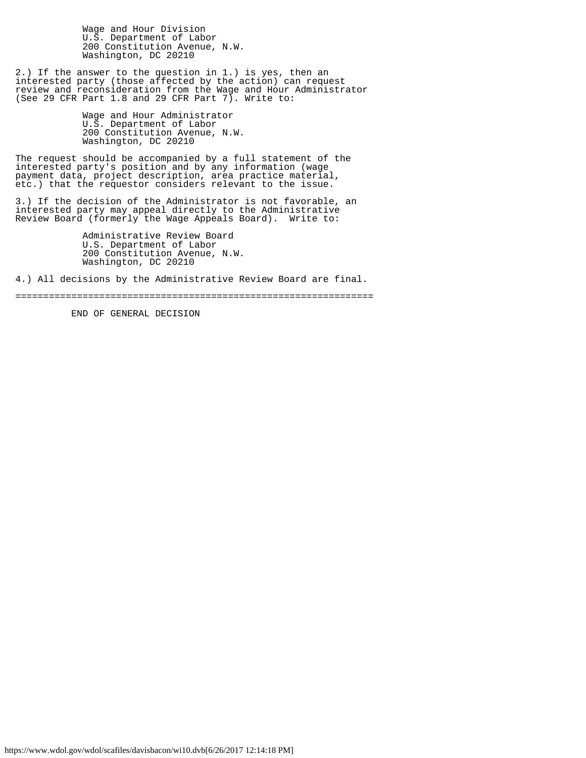Wage and Hour Division U.S. Department of Labor 200 Constitution Avenue, N.W. Washington, DC 20210

2.) If the answer to the question in 1.) is yes, then an interested party (those affected by the action) can request review and reconsideration from the Wage and Hour Administrator (See 29 CFR Part 1.8 and 29 CFR Part 7). Write to:

> Wage and Hour Administrator U.S. Department of Labor 200 Constitution Avenue, N.W. Washington, DC 20210

The request should be accompanied by a full statement of the interested party's position and by any information (wage payment data, project description, area practice material, etc.) that the requestor considers relevant to the issue.

3.) If the decision of the Administrator is not favorable, an interested party may appeal directly to the Administrative Review Board (formerly the Wage Appeals Board). Write to:

> Administrative Review Board U.S. Department of Labor 200 Constitution Avenue, N.W. Washington, DC 20210

4.) All decisions by the Administrative Review Board are final.

================================================================

END OF GENERAL DECISION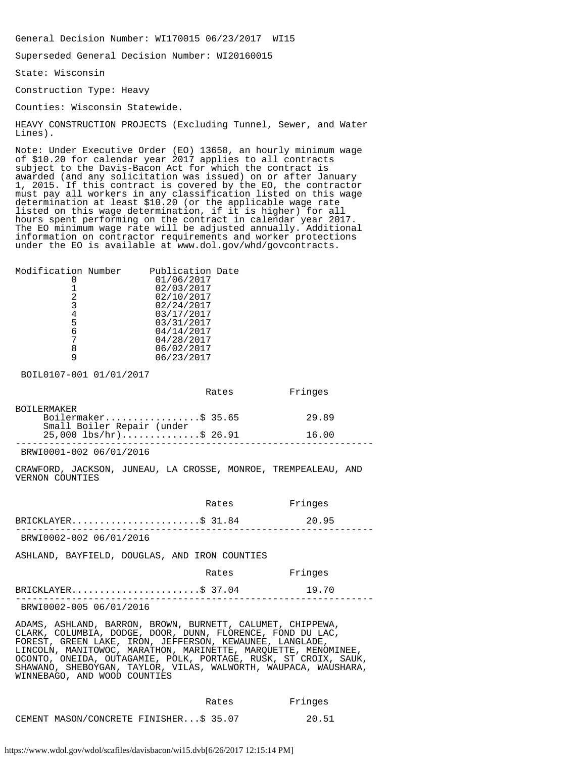General Decision Number: WI170015 06/23/2017 WI15

Superseded General Decision Number: WI20160015

State: Wisconsin

Construction Type: Heavy

Counties: Wisconsin Statewide.

HEAVY CONSTRUCTION PROJECTS (Excluding Tunnel, Sewer, and Water Lines).

Note: Under Executive Order (EO) 13658, an hourly minimum wage of \$10.20 for calendar year 2017 applies to all contracts subject to the Davis-Bacon Act for which the contract is awarded (and any solicitation was issued) on or after January 1, 2015. If this contract is covered by the EO, the contractor must pay all workers in any classification listed on this wage determination at least \$10.20 (or the applicable wage rate listed on this wage determination, if it is higher) for all hours spent performing on the contract in calendar year 2017. The EO minimum wage rate will be adjusted annually. Additional information on contractor requirements and worker protections under the EO is available at www.dol.gov/whd/govcontracts.

| Modification Number | Publication Date |
|---------------------|------------------|
|                     | 01/06/2017       |
|                     | 02/03/2017       |
| 2                   | 02/10/2017       |
| 3                   | 02/24/2017       |
|                     | 03/17/2017       |
| 5                   | 03/31/2017       |
| 6                   | 04/14/2017       |
|                     | 04/28/2017       |
|                     | 06/02/2017       |
|                     | 06/23/2017       |
|                     |                  |

BOIL0107-001 01/01/2017

|                            | Rates | Fringes |  |
|----------------------------|-------|---------|--|
| <b>BOILERMAKER</b>         |       |         |  |
| Boilermaker\$ 35.65        |       | 29.89   |  |
| Small Boiler Repair (under |       |         |  |
| $25,000$ lbs/hr)\$ 26.91   |       | 16.00   |  |
|                            |       |         |  |

BRWI0001-002 06/01/2016

CRAWFORD, JACKSON, JUNEAU, LA CROSSE, MONROE, TREMPEALEAU, AND VERNON COUNTIES

 Rates Fringes BRICKLAYER...........................\$ 31.84 20.95 ---------------------------------------------------------------- BRWI0002-002 06/01/2016 ASHLAND, BAYFIELD, DOUGLAS, AND IRON COUNTIES Rates Fringes

| BRWI0002-005 06/01/2016 |  |  |
|-------------------------|--|--|

ADAMS, ASHLAND, BARRON, BROWN, BURNETT, CALUMET, CHIPPEWA, CLARK, COLUMBIA, DODGE, DOOR, DUNN, FLORENCE, FOND DU LAC, FOREST, GREEN LAKE, IRON, JEFFERSON, KEWAUNEE, LANGLADE, LINCOLN, MANITOWOC, MARATHON, MARINETTE, MARQUETTE, MENOMINEE, OCONTO, ONEIDA, OUTAGAMIE, POLK, PORTAGE, RUSK, ST CROIX, SAUK, SHAWANO, SHEBOYGAN, TAYLOR, VILAS, WALWORTH, WAUPACA, WAUSHARA, WINNEBAGO, AND WOOD COUNTIES

|                                        | Rates | Fringes |
|----------------------------------------|-------|---------|
| CEMENT MASON/CONCRETE FINISHER\$ 35.07 |       | 20.51   |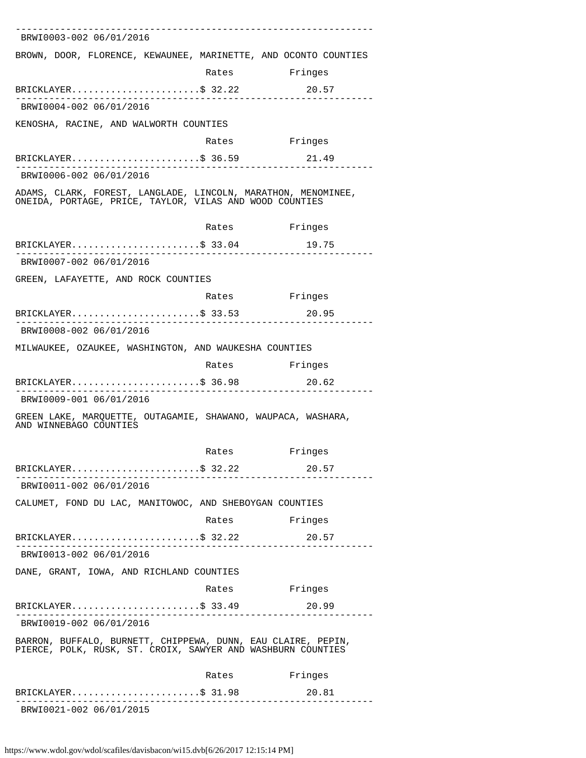| BRWI0003-002 06/01/2016                                                                                                                     |                           |         |
|---------------------------------------------------------------------------------------------------------------------------------------------|---------------------------|---------|
| BROWN, DOOR, FLORENCE, KEWAUNEE, MARINETTE, AND OCONTO COUNTIES                                                                             |                           |         |
|                                                                                                                                             | Rates                     | Fringes |
| BRICKLAYER\$ 32.22                                                                                                                          |                           | 20.57   |
| BRWI0004-002 06/01/2016                                                                                                                     |                           |         |
| KENOSHA, RACINE, AND WALWORTH COUNTIES                                                                                                      |                           |         |
|                                                                                                                                             | Rates                     | Fringes |
| BRICKLAYER\$ 36.59                                                                                                                          |                           | 21.49   |
| BRWI0006-002 06/01/2016                                                                                                                     |                           |         |
| ADAMS, CLARK, FOREST, LANGLADE, LINCOLN, MARATHON, MENOMINEE,<br>ONEIDA, PORTAGE, PRICE, TAYLOR, VILAS AND WOOD COUNTIES                    |                           |         |
|                                                                                                                                             | Rates                     | Fringes |
| BRICKLAYER\$ 33.04<br>________________                                                                                                      |                           | 19.75   |
| BRWI0007-002 06/01/2016                                                                                                                     |                           |         |
| GREEN, LAFAYETTE, AND ROCK COUNTIES                                                                                                         |                           |         |
|                                                                                                                                             | Rates                     | Fringes |
| $BRICKLAYER$ \$ 33.53                                                                                                                       |                           | 20.95   |
| BRWI0008-002 06/01/2016                                                                                                                     |                           |         |
| MILWAUKEE, OZAUKEE, WASHINGTON, AND WAUKESHA COUNTIES                                                                                       |                           |         |
|                                                                                                                                             | Rates                     | Fringes |
| BRICKLAYER\$ 36.98 20.62                                                                                                                    |                           |         |
| BRWI0009-001 06/01/2016                                                                                                                     |                           |         |
| GREEN LAKE, MARQUETTE, OUTAGAMIE, SHAWANO, WAUPACA, WASHARA,<br>AND WINNEBAGO COUNTIES                                                      |                           |         |
|                                                                                                                                             | Rates                     | Fringes |
| BRICKLAYER\$ 32.22                                                                                                                          | . _ _ _ _ _ _ _ _ _ _ _ . | 20.57   |
| BRWI0011-002 06/01/2016                                                                                                                     |                           |         |
| CALUMET, FOND DU LAC, MANITOWOC, AND SHEBOYGAN COUNTIES                                                                                     |                           |         |
|                                                                                                                                             | Rates                     | Fringes |
| BRICKLAYER\$ 32.22<br><u> 1999 - Alexandr Alexandr III et al. 1999 - al. 1999 - al. 1999 - al. 1999 - al. 1999 - al. 1999 - al. 1999 - </u> |                           | 20.57   |
| BRWI0013-002 06/01/2016                                                                                                                     |                           |         |
| DANE, GRANT, IOWA, AND RICHLAND COUNTIES                                                                                                    |                           |         |
|                                                                                                                                             | Rates Fringes             |         |
| BRICKLAYER\$ 33.49 20.99<br>___________________                                                                                             |                           |         |
| BRWI0019-002 06/01/2016                                                                                                                     |                           |         |
| BARRON, BUFFALO, BURNETT, CHIPPEWA, DUNN, EAU CLAIRE, PEPIN,<br>PIERCE, POLK, RUSK, ST. CROIX, SAWYER AND WASHBURN COUNTIES                 |                           |         |
|                                                                                                                                             | Rates                     | Fringes |
| $BRICKLAYER$ \$ 31.98                                                                                                                       |                           | 20.81   |
| BRWI0021-002 06/01/2015                                                                                                                     |                           |         |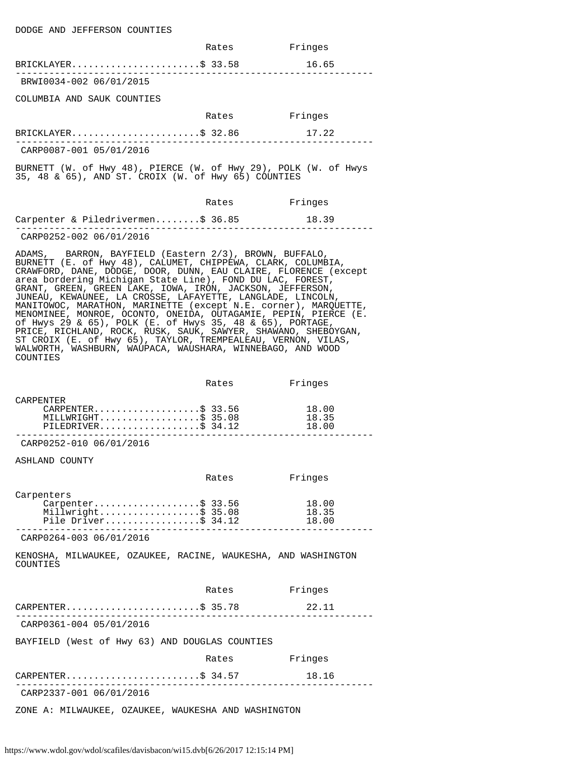|                                                                                                                                                                                                                                                                                                                                                                                                                                                                                                                                                                                                                                                                                                                                                                                                 | Rates | Fringes                 |
|-------------------------------------------------------------------------------------------------------------------------------------------------------------------------------------------------------------------------------------------------------------------------------------------------------------------------------------------------------------------------------------------------------------------------------------------------------------------------------------------------------------------------------------------------------------------------------------------------------------------------------------------------------------------------------------------------------------------------------------------------------------------------------------------------|-------|-------------------------|
| BRICKLAYER\$ 33.58                                                                                                                                                                                                                                                                                                                                                                                                                                                                                                                                                                                                                                                                                                                                                                              |       | 16.65                   |
| BRWI0034-002 06/01/2015                                                                                                                                                                                                                                                                                                                                                                                                                                                                                                                                                                                                                                                                                                                                                                         |       |                         |
| COLUMBIA AND SAUK COUNTIES                                                                                                                                                                                                                                                                                                                                                                                                                                                                                                                                                                                                                                                                                                                                                                      |       |                         |
|                                                                                                                                                                                                                                                                                                                                                                                                                                                                                                                                                                                                                                                                                                                                                                                                 | Rates | Fringes                 |
| $BRICKLAYER.$ \$ 32.86                                                                                                                                                                                                                                                                                                                                                                                                                                                                                                                                                                                                                                                                                                                                                                          |       | 17.22                   |
| CARP0087-001 05/01/2016                                                                                                                                                                                                                                                                                                                                                                                                                                                                                                                                                                                                                                                                                                                                                                         |       |                         |
| BURNETT (W. of Hwy 48), PIERCE (W. of Hwy 29), POLK (W. of Hwys<br>35, 48 & 65), AND ST. CROIX (W. of Hwy 65) COUNTIES                                                                                                                                                                                                                                                                                                                                                                                                                                                                                                                                                                                                                                                                          |       |                         |
|                                                                                                                                                                                                                                                                                                                                                                                                                                                                                                                                                                                                                                                                                                                                                                                                 | Rates | Fringes                 |
| Carpenter & Piledrivermen\$ 36.85                                                                                                                                                                                                                                                                                                                                                                                                                                                                                                                                                                                                                                                                                                                                                               |       | 18.39                   |
| CARP0252-002 06/01/2016                                                                                                                                                                                                                                                                                                                                                                                                                                                                                                                                                                                                                                                                                                                                                                         |       |                         |
| ADAMS, BARRON, BAYFIELD (Eastern 2/3), BROWN, BUFFALO,<br>BURNETT (E. of Hwy 48), CALUMET, CHIPPEWA, CLARK, COLUMBIA,<br>CRAWFORD, DANE, DODGE, DOOR, DUNN, EAU CLAIRE, FLORENCE (except<br>area bordering Michigan State Line), FOND DU LAC, FOREST,<br>GRANT, GREEN, GREEN LAKE, IOWA, IRON, JACKSON, JEFFERSON,<br>JUNEAU, KEWAUNEE, LA CROSSE, LAFAYETTE, LANGLADE, LINCOLN,<br>MANITOWOC, MARATHON, MARINETTE (except N.E. corner), MARQUETTE,<br>MENOMINEE, MONROE, OCONTO, ONEIDA, OUTAGAMIE, PEPIN, PIERCE (E.<br>of Hwys 29 & 65), POLK (E. of Hwys 35, 48 & 65), PORTAGE,<br>PRICE, RICHLAND, ROCK, RUSK, SAUK, SAWYER, SHAWANO, SHEBOYGAN,<br>ST CROIX (E. of Hwy 65), TAYLOR, TREMPEALEAU, VERNON, VILAS,<br>WALWORTH, WASHBURN, WAUPACA, WAUSHARA, WINNEBAGO, AND WOOD<br>COUNTIES |       |                         |
|                                                                                                                                                                                                                                                                                                                                                                                                                                                                                                                                                                                                                                                                                                                                                                                                 | Rates | Fringes                 |
| CARPENTER<br>CARPENTER\$ 33.56<br>MILLWRIGHT\$ 35.08<br>PILEDRIVER\$ $34.12$                                                                                                                                                                                                                                                                                                                                                                                                                                                                                                                                                                                                                                                                                                                    |       | 18.00<br>18.35<br>18.00 |
| CARP0252-010 06/01/2016                                                                                                                                                                                                                                                                                                                                                                                                                                                                                                                                                                                                                                                                                                                                                                         |       |                         |
| ASHLAND COUNTY                                                                                                                                                                                                                                                                                                                                                                                                                                                                                                                                                                                                                                                                                                                                                                                  |       |                         |
|                                                                                                                                                                                                                                                                                                                                                                                                                                                                                                                                                                                                                                                                                                                                                                                                 | Rates | Fringes                 |
| Carpenters<br>$Carpenter$ \$ 33.56<br>Millwright\$ 35.08<br>Pile Driver\$ 34.12                                                                                                                                                                                                                                                                                                                                                                                                                                                                                                                                                                                                                                                                                                                 |       | 18.00<br>18.35<br>18.00 |
| CARP0264-003 06/01/2016                                                                                                                                                                                                                                                                                                                                                                                                                                                                                                                                                                                                                                                                                                                                                                         |       |                         |
| KENOSHA, MILWAUKEE, OZAUKEE, RACINE, WAUKESHA, AND WASHINGTON<br>COUNTIES                                                                                                                                                                                                                                                                                                                                                                                                                                                                                                                                                                                                                                                                                                                       |       |                         |
|                                                                                                                                                                                                                                                                                                                                                                                                                                                                                                                                                                                                                                                                                                                                                                                                 | Rates | Fringes                 |
| CARPENTER\$ 35.78                                                                                                                                                                                                                                                                                                                                                                                                                                                                                                                                                                                                                                                                                                                                                                               |       | 22.11                   |
| ______________________________<br>CARP0361-004 05/01/2016                                                                                                                                                                                                                                                                                                                                                                                                                                                                                                                                                                                                                                                                                                                                       |       |                         |
| BAYFIELD (West of Hwy 63) AND DOUGLAS COUNTIES                                                                                                                                                                                                                                                                                                                                                                                                                                                                                                                                                                                                                                                                                                                                                  |       |                         |
|                                                                                                                                                                                                                                                                                                                                                                                                                                                                                                                                                                                                                                                                                                                                                                                                 | Rates | Fringes                 |
| $CARPENTER.$ \$ 34.57                                                                                                                                                                                                                                                                                                                                                                                                                                                                                                                                                                                                                                                                                                                                                                           |       | 18.16                   |
| CARP2337-001 06/01/2016                                                                                                                                                                                                                                                                                                                                                                                                                                                                                                                                                                                                                                                                                                                                                                         |       |                         |

ZONE A: MILWAUKEE, OZAUKEE, WAUKESHA AND WASHINGTON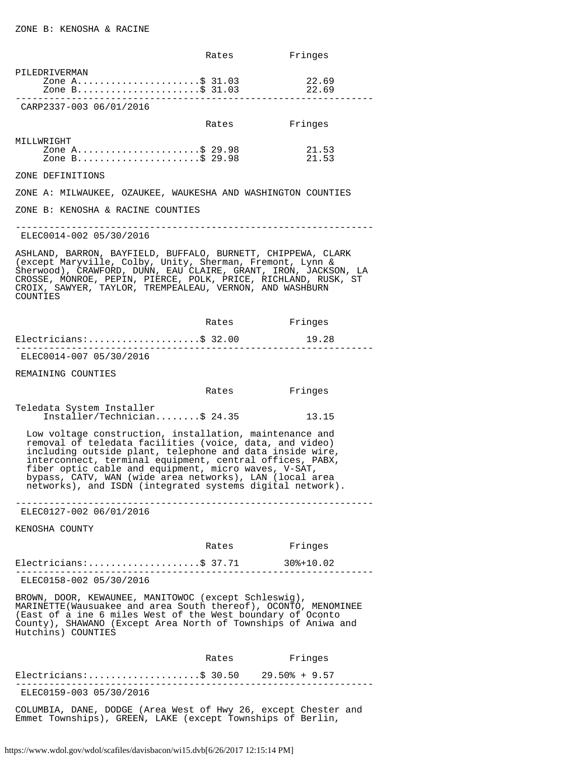|                                                                                                                                                                                                                                                                                                                                                                                                                            | Rates                     | Fringes                                  |
|----------------------------------------------------------------------------------------------------------------------------------------------------------------------------------------------------------------------------------------------------------------------------------------------------------------------------------------------------------------------------------------------------------------------------|---------------------------|------------------------------------------|
| PILEDRIVERMAN<br>Zone A\$ 31.03                                                                                                                                                                                                                                                                                                                                                                                            |                           | 22.69<br>22.69                           |
| CARP2337-003 06/01/2016                                                                                                                                                                                                                                                                                                                                                                                                    |                           |                                          |
|                                                                                                                                                                                                                                                                                                                                                                                                                            | Rates                     | Fringes                                  |
| MILLWRIGHT<br>Zone A\$ 29.98<br>Zone B\$ 29.98                                                                                                                                                                                                                                                                                                                                                                             |                           | 21.53<br>21.53                           |
| ZONE DEFINITIONS                                                                                                                                                                                                                                                                                                                                                                                                           |                           |                                          |
| ZONE A: MILWAUKEE, OZAUKEE, WAUKESHA AND WASHINGTON COUNTIES                                                                                                                                                                                                                                                                                                                                                               |                           |                                          |
| ZONE B: KENOSHA & RACINE COUNTIES                                                                                                                                                                                                                                                                                                                                                                                          |                           |                                          |
| ELEC0014-002 05/30/2016                                                                                                                                                                                                                                                                                                                                                                                                    |                           | ________________________________         |
| ASHLAND, BARRON, BAYFIELD, BUFFALO, BURNETT, CHIPPEWA, CLARK<br>(except Maryville, Colby, Unity, Sherman, Fremont, Lynn &<br>Sherwood), CRAWFORD, DUNN, EAU CLAIRE, GRANT, IRON, JACKSON, LA<br>CROSSE, MONROE, PEPIN, PIERCE, POLK, PRICE, RICHLAND, RUSK, ST<br>CROIX, SAWYER, TAYLOR, TREMPEALEAU, VERNON, AND WASHBURN<br>COUNTIES                                                                                     |                           |                                          |
|                                                                                                                                                                                                                                                                                                                                                                                                                            |                           | Rates Fringes                            |
| Electricians:\$ 32.00                                                                                                                                                                                                                                                                                                                                                                                                      |                           | 19.28<br>. _ _ _ _ _ _ _ _ _ _ _ _ _ _ _ |
| ELEC0014-007 05/30/2016                                                                                                                                                                                                                                                                                                                                                                                                    |                           |                                          |
| REMAINING COUNTIES                                                                                                                                                                                                                                                                                                                                                                                                         |                           |                                          |
|                                                                                                                                                                                                                                                                                                                                                                                                                            |                           | Rates Fringes                            |
| Teledata System Installer<br>Installer/Technician\$ 24.35                                                                                                                                                                                                                                                                                                                                                                  |                           | 13.15                                    |
| Low voltage construction, installation, maintenance and<br>removal of teledata facilities (voice, data, and video)<br>including outside plant, telephone and data inside wire,<br>interconnect, terminal equipment, central offices, PABX,<br>fiber optic cable and equipment, micro waves, V-SAT,<br>bypass, CATV, WAN (wide area networks), LAN (local area<br>networks), and ISDN (integrated systems digital network). |                           |                                          |
| ELEC0127-002 06/01/2016                                                                                                                                                                                                                                                                                                                                                                                                    |                           |                                          |
| KENOSHA COUNTY                                                                                                                                                                                                                                                                                                                                                                                                             |                           |                                          |
|                                                                                                                                                                                                                                                                                                                                                                                                                            |                           | Rates Fringes                            |
| Electricians: \$ 37.71 30%+10.02                                                                                                                                                                                                                                                                                                                                                                                           | . _ _ _ _ _ _ _ _ _ _ _ _ |                                          |
| ELEC0158-002 05/30/2016                                                                                                                                                                                                                                                                                                                                                                                                    |                           |                                          |
| BROWN, DOOR, KEWAUNEE, MANITOWOC (except Schleswig),<br>MARINETTE(Wausuakee and area South thereof), OCONTO, MENOMINEE<br>(East of a ine 6 miles West of the West boundary of Oconto<br>County), SHAWANO (Except Area North of Townships of Aniwa and<br>Hutchins) COUNTIES                                                                                                                                                |                           |                                          |
|                                                                                                                                                                                                                                                                                                                                                                                                                            | Rates                     | Fringes                                  |
| Electricians:\$ 30.50 29.50% + 9.57                                                                                                                                                                                                                                                                                                                                                                                        |                           |                                          |
| ELEC0159-003 05/30/2016                                                                                                                                                                                                                                                                                                                                                                                                    |                           |                                          |
| COLUMBIA, DANE, DODGE (Area West of Hwy 26, except Chester and                                                                                                                                                                                                                                                                                                                                                             |                           |                                          |

Emmet Townships), GREEN, LAKE (except Townships of Berlin,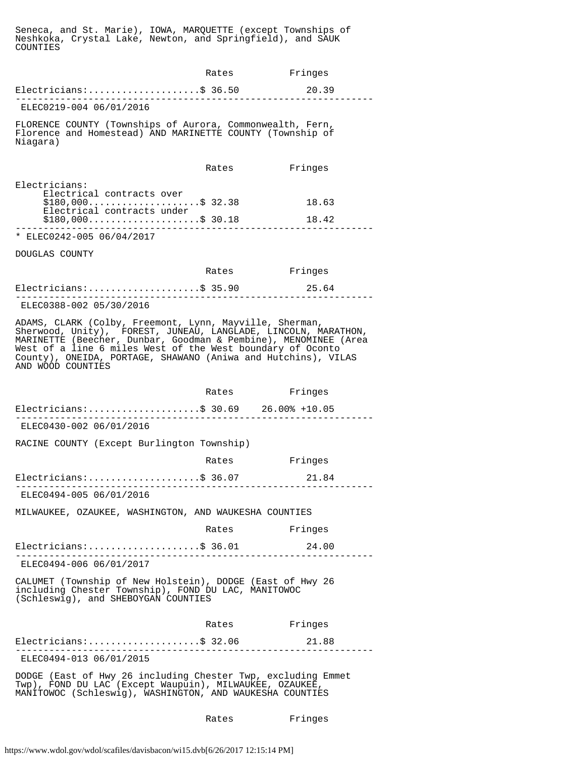Seneca, and St. Marie), IOWA, MARQUETTE (except Townships of Neshkoka, Crystal Lake, Newton, and Springfield), and SAUK COUNTIES

|                                                                                                                                                                                                                                                                                                                                                  | Rates | Fringes        |
|--------------------------------------------------------------------------------------------------------------------------------------------------------------------------------------------------------------------------------------------------------------------------------------------------------------------------------------------------|-------|----------------|
| $Electricians:$ \$ 36.50<br><u>. A A A A A A A</u> Mill                                                                                                                                                                                                                                                                                          |       | 20.39          |
| ELEC0219-004 06/01/2016                                                                                                                                                                                                                                                                                                                          |       |                |
| FLORENCE COUNTY (Townships of Aurora, Commonwealth, Fern,<br>Florence and Homestead) AND MARINETTE COUNTY (Township of<br>Niagara)                                                                                                                                                                                                               |       |                |
|                                                                                                                                                                                                                                                                                                                                                  | Rates | Fringes        |
| Electricians:<br>Electrical contracts over<br>$$180,000$ \$ 32.38<br>Electrical contracts under<br>$$180,000$ \$ 30.18                                                                                                                                                                                                                           |       | 18.63<br>18.42 |
| ________________<br>* ELEC0242-005 06/04/2017                                                                                                                                                                                                                                                                                                    |       |                |
| DOUGLAS COUNTY                                                                                                                                                                                                                                                                                                                                   |       |                |
|                                                                                                                                                                                                                                                                                                                                                  | Rates | Fringes        |
| Electricians:\$ 35.90                                                                                                                                                                                                                                                                                                                            |       | 25.64          |
| ELEC0388-002 05/30/2016                                                                                                                                                                                                                                                                                                                          |       |                |
| ADAMS, CLARK (Colby, Freemont, Lynn, Mayville, Sherman,<br>Sherwood, Unity), FOREST, JUNEAU, LANGLADE, LINCOLN, MARATHON,<br>MARINETTE (Beecher, Dunbar, Goodman & Pembine), MENOMINEE (Area<br>West of a line 6 miles West of the West boundary of Oconto<br>County), ONEIDA, PORTAGE, SHAWANO (Aniwa and Hutchins), VILAS<br>AND WOOD COUNTIES |       |                |
|                                                                                                                                                                                                                                                                                                                                                  |       | Rates Fringes  |
| Electricians:\$ 30.69 26.00% +10.05                                                                                                                                                                                                                                                                                                              |       |                |
| ELEC0430-002 06/01/2016                                                                                                                                                                                                                                                                                                                          |       |                |
| RACINE COUNTY (Except Burlington Township)                                                                                                                                                                                                                                                                                                       |       |                |
|                                                                                                                                                                                                                                                                                                                                                  | Rates | Fringes        |
| Electricians:\$ 36.07                                                                                                                                                                                                                                                                                                                            |       | 21.84          |
| .<br>ELEC0494-005 06/01/2016                                                                                                                                                                                                                                                                                                                     |       |                |
| MILWAUKEE, OZAUKEE, WASHINGTON, AND WAUKESHA COUNTIES                                                                                                                                                                                                                                                                                            |       |                |
|                                                                                                                                                                                                                                                                                                                                                  | Rates | Fringes        |
| $Electrical as:$ \$ 36.01                                                                                                                                                                                                                                                                                                                        |       | 24.00          |
| ELEC0494-006 06/01/2017                                                                                                                                                                                                                                                                                                                          |       |                |
| CALUMET (Township of New Holstein), DODGE (East of Hwy 26<br>including Chester Township), FOND DU LAC, MANITOWOC<br>(Schleswig), and SHEBOYGAN COUNTIES                                                                                                                                                                                          |       |                |
|                                                                                                                                                                                                                                                                                                                                                  | Rates | Fringes        |
| $Electrical as:$ \$ 32.06<br>.                                                                                                                                                                                                                                                                                                                   |       | 21.88          |
| ELEC0494-013 06/01/2015                                                                                                                                                                                                                                                                                                                          |       |                |
| DODGE (East of Hwy 26 including Chester Twp, excluding Emmet<br>Twp), FOND DU LAC (Except Waupuin), MILWAUKEE, OZAUKEE,<br>MANITOWOC (Schleswig), WASHINGTON, AND WAUKESHA COUNTIES                                                                                                                                                              |       |                |

Rates Fringes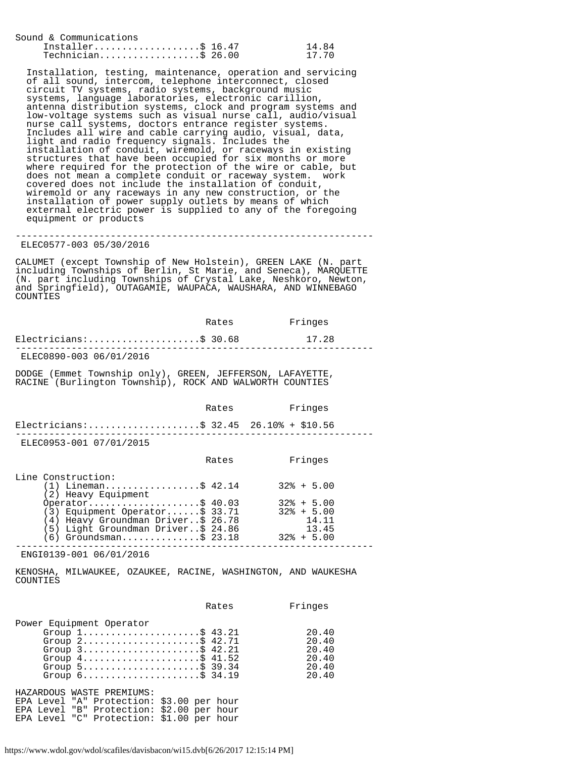| Sound & Communications                       |                |
|----------------------------------------------|----------------|
| Installer\$ $16.47$<br>$Technician$ \$ 26.00 | 14.84<br>17.70 |

 Installation, testing, maintenance, operation and servicing of all sound, intercom, telephone interconnect, closed circuit TV systems, radio systems, background music systems, language laboratories, electronic carillion, antenna distribution systems, clock and program systems and low-voltage systems such as visual nurse call, audio/visual nurse call systems, doctors entrance register systems. Includes all wire and cable carrying audio, visual, data, light and radio frequency signals. Includes the installation of conduit, wiremold, or raceways in existing structures that have been occupied for six months or more where required for the protection of the wire or cable, but does not mean a complete conduit or raceway system. work covered does not include the installation of conduit, wiremold or any raceways in any new construction, or the installation of power supply outlets by means of which external electric power is supplied to any of the foregoing equipment or products

## ELEC0577-003 05/30/2016

CALUMET (except Township of New Holstein), GREEN LAKE (N. part including Townships of Berlin, St Marie, and Seneca), MARQUETTE (N. part including Townships of Crystal Lake, Neshkoro, Newton, and Springfield), OUTAGAMIE, WAUPACA, WAUSHARA, AND WINNEBAGO COUNTIES

----------------------------------------------------------------

|                                                                                                                                                                                                                                                                                                       | Rates         | Fringes                                            |
|-------------------------------------------------------------------------------------------------------------------------------------------------------------------------------------------------------------------------------------------------------------------------------------------------------|---------------|----------------------------------------------------|
| $Electrical as:$ \$ 30.68                                                                                                                                                                                                                                                                             |               | 17.28                                              |
| ELEC0890-003 06/01/2016                                                                                                                                                                                                                                                                               |               |                                                    |
| DODGE (Emmet Township only), GREEN, JEFFERSON, LAFAYETTE,<br>RACINE (Burlington Township), ROCK AND WALWORTH COUNTIES                                                                                                                                                                                 |               |                                                    |
|                                                                                                                                                                                                                                                                                                       | Rates Fringes |                                                    |
| Electricians:\$ 32.45 26.10% + \$10.56                                                                                                                                                                                                                                                                |               |                                                    |
| ELEC0953-001 07/01/2015                                                                                                                                                                                                                                                                               |               |                                                    |
|                                                                                                                                                                                                                                                                                                       | Rates         | Fringes                                            |
| Line Construction:<br>(1) Lineman\$ 42.14 32% + 5.00<br>(2) Heavy Equipment<br>Operator\$ 40.03 32% + 5.00<br>(3) Equipment Operator\$ 33.71 32% + 5.00<br>(4) Heavy Groundman Driver\$ 26.78<br>(5) Light Groundman Driver\$ 24.86<br>$(6)$ Groundsman\$ 23.18 32% + 5.00<br>ENGI0139-001 06/01/2016 |               | 14.11<br>13.45                                     |
| KENOSHA, MILWAUKEE, OZAUKEE, RACINE, WASHINGTON, AND WAUKESHA<br>COUNTIES                                                                                                                                                                                                                             |               |                                                    |
|                                                                                                                                                                                                                                                                                                       | Rates         | Fringes                                            |
| Power Equipment Operator<br>Group $1, \ldots, \ldots, \ldots, \ldots, \$ 43.21<br>Group $2$ \$ 42.71<br>Group $3$ \$ 42.21<br>Group $4 \ldots \ldots \ldots \ldots \ldots \ldots \$ 41.52<br>Group 5\$ 39.34<br>Group 6\$ 34.19                                                                       |               | 20.40<br>20.40<br>20.40<br>20.40<br>20.40<br>20.40 |

HAZARDOUS WASTE PREMIUMS: EPA Level "A" Protection: \$3.00 per hour EPA Level "B" Protection: \$2.00 per hour EPA Level "C" Protection: \$1.00 per hour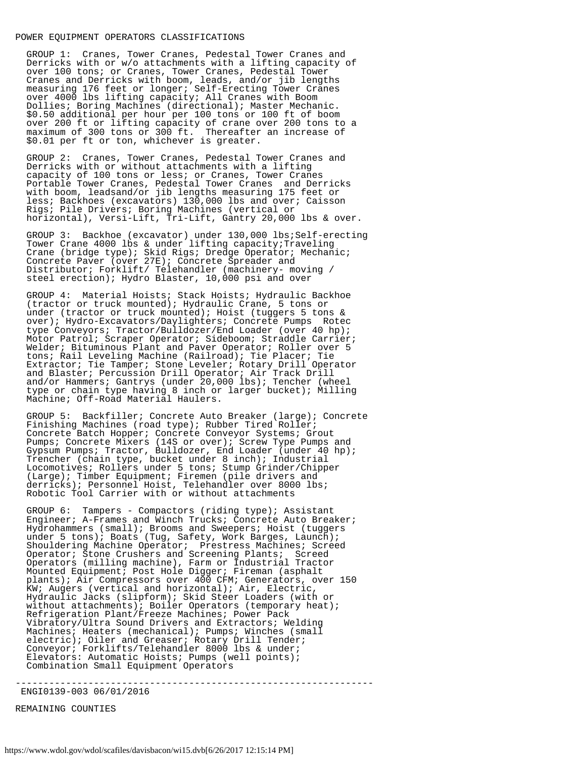#### POWER EQUIPMENT OPERATORS CLASSIFICATIONS

 GROUP 1: Cranes, Tower Cranes, Pedestal Tower Cranes and Derricks with or w/o attachments with a lifting capacity of over 100 tons; or Cranes, Tower Cranes, Pedestal Tower Cranes and Derricks with boom, leads, and/or jib lengths measuring 176 feet or longer; Self-Erecting Tower Cranes over 4000 lbs lifting capacity; All Cranes with Boom Dollies; Boring Machines (directional); Master Mechanic. \$0.50 additional per hour per 100 tons or 100 ft of boom over 200 ft or lifting capacity of crane over 200 tons to a maximum of 300 tons or 300 ft. Thereafter an increase of \$0.01 per ft or ton, whichever is greater.

 GROUP 2: Cranes, Tower Cranes, Pedestal Tower Cranes and Derricks with or without attachments with a lifting<br>capacity of 100 tons or less; or Cranes, Tower Cranes capacity of 100 tons or less; or Cranes, Tower Cranes Portable Tower Cranes, Pedestal Tower Cranes and Derricks with boom, leadsand/or jib lengths measuring 175 feet or less; Backhoes (excavators) 130,000 lbs and over; Caisson Rigs; Pile Drivers; Boring Machines (vertical or horizontal), Versi-Lift, Tri-Lift, Gantry 20,000 lbs & over.

 GROUP 3: Backhoe (excavator) under 130,000 lbs;Self-erecting Tower Crane 4000 lbs & under lifting capacity;Traveling Crane (bridge type); Skid Rigs; Dredge Operator; Mechanic; Concrete Paver (over 27E); Concrete Spreader and Distributor; Forklift/ Telehandler (machinery- moving / steel erection); Hydro Blaster, 10,000 psi and over

 GROUP 4: Material Hoists; Stack Hoists; Hydraulic Backhoe (tractor or truck mounted); Hydraulic Crane, 5 tons or under (tractor or truck mounted); Hoist (tuggers 5 tons & over); Hydro-Excavators/Daylighters; Concrete Pumps Rotec type Conveyors; Tractor/Bulldozer/End Loader (over 40 hp); Motor Patrol; Scraper Operator; Sideboom; Straddle Carrier; Welder; Bituminous Plant and Paver Operator; Roller over 5 tons; Rail Leveling Machine (Railroad); Tie Placer; Tie Extractor; Tie Tamper; Stone Leveler; Rotary Drill Operator and Blaster; Percussion Drill Operator; Air Track Drill and/or Hammers; Gantrys (under 20,000 lbs); Tencher (wheel type or chain type having 8 inch or larger bucket); Milling Machine; Off-Road Material Haulers.

 GROUP 5: Backfiller; Concrete Auto Breaker (large); Concrete Finishing Machines (road type); Rubber Tired Roller; Concrete Batch Hopper; Concrete Conveyor Systems; Grout Pumps; Concrete Mixers (14S or over); Screw Type Pumps and Gypsum Pumps; Tractor, Bulldozer, End Loader (under 40 hp); Trencher (chain type, bucket under 8 inch); Industrial Locomotives; Rollers under 5 tons; Stump Grinder/Chipper (Large); Timber Equipment; Firemen (pile drivers and derricks); Personnel Hoist, Telehandler over 8000 lbs; Robotic Tool Carrier with or without attachments

 GROUP 6: Tampers - Compactors (riding type); Assistant Engineer; A-Frames and Winch Trucks; Concrete Auto Breaker; Hydrohammers (small); Brooms and Sweepers; Hoist (tuggers under 5 tons); Boats (Tug, Safety, Work Barges, Launch); Shouldering Machine Operator; Prestress Machines; Screed Operator; Stone Crushers and Screening Plants; Screed Operators (milling machine), Farm or Industrial Tractor Mounted Equipment; Post Hole Digger; Fireman (asphalt plants); Air Compressors over 400 CFM; Generators, over 150 KW; Augers (vertical and horizontal); Air, Electric, Hydraulic Jacks (slipform); Skid Steer Loaders (with or without attachments); Boiler Operators (temporary heat); Refrigeration Plant/Freeze Machines; Power Pack Vibratory/Ultra Sound Drivers and Extractors; Welding Machines; Heaters (mechanical); Pumps; Winches (small electric); Oiler and Greaser; Rotary Drill Tender; Conveyor; Forklifts/Telehandler 8000 lbs & under; Elevators: Automatic Hoists; Pumps (well points); Combination Small Equipment Operators

----------------------------------------------------------------

ENGI0139-003 06/01/2016

REMAINING COUNTIES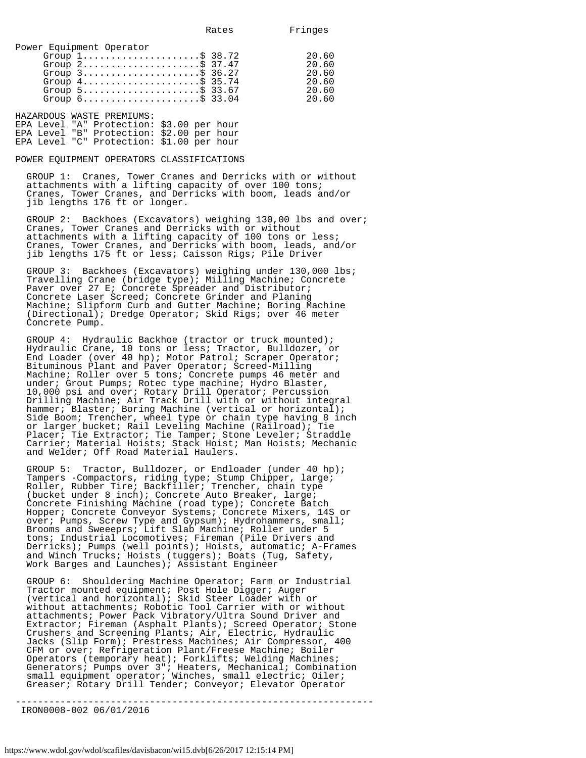| Power Equipment Operator                                            |       |
|---------------------------------------------------------------------|-------|
| Group $1, \ldots, \ldots, \ldots, \ldots, \$$ 38.72                 | 20.60 |
| Group $2$ \$ 37.47                                                  | 20.60 |
| Group $3$                                                           | 20.60 |
| Group $4 \ldots \ldots \ldots \ldots \ldots \ldots \text{ } 35.74$  | 20.60 |
| Group $5$ ; $33.67$                                                 | 20.60 |
| Group $6 \ldots \ldots \ldots \ldots \ldots \ldots \ldots$ \$ 33.04 | 20.60 |

HAZARDOUS WASTE PREMIUMS: EPA Level "A" Protection: \$3.00 per hour EPA Level "B" Protection: \$2.00 per hour EPA Level "C" Protection: \$1.00 per hour

## POWER EQUIPMENT OPERATORS CLASSIFICATIONS

 GROUP 1: Cranes, Tower Cranes and Derricks with or without attachments with a lifting capacity of over 100 tons; Cranes, Tower Cranes, and Derricks with boom, leads and/or jib lengths 176 ft or longer.

 GROUP 2: Backhoes (Excavators) weighing 130,00 lbs and over; Cranes, Tower Cranes and Derricks with or without attachments with a lifting capacity of 100 tons or less; Cranes, Tower Cranes, and Derricks with boom, leads, and/or jib lengths 175 ft or less; Caisson Rigs; Pile Driver

 GROUP 3: Backhoes (Excavators) weighing under 130,000 lbs; Travelling Crane (bridge type); Milling Machine; Concrete Paver over 27 E; Concrete Spreader and Distributor; Concrete Laser Screed; Concrete Grinder and Planing Machine; Slipform Curb and Gutter Machine; Boring Machine (Directional); Dredge Operator; Skid Rigs; over 46 meter Concrete Pump.

 GROUP 4: Hydraulic Backhoe (tractor or truck mounted); Hydraulic Crane, 10 tons or less; Tractor, Bulldozer, or End Loader (over 40 hp); Motor Patrol; Scraper Operator; Bituminous Plant and Paver Operator; Screed-Milling Machine; Roller over 5 tons; Concrete pumps 46 meter and under; Grout Pumps; Rotec type machine; Hydro Blaster, 10,000 psi and over; Rotary Drill Operator; Percussion Drilling Machine; Air Track Drill with or without integral hammer; Blaster; Boring Machine (vertical or horizontal); Side Boom; Trencher, wheel type or chain type having 8 inch or larger bucket; Rail Leveling Machine (Railroad); Tie Placer; Tie Extractor; Tie Tamper; Stone Leveler; Straddle Carrier; Material Hoists; Stack Hoist; Man Hoists; Mechanic and Welder; Off Road Material Haulers.

 GROUP 5: Tractor, Bulldozer, or Endloader (under 40 hp); Tampers -Compactors, riding type; Stump Chipper, large; Roller, Rubber Tire; Backfiller; Trencher, chain type (bucket under 8 inch); Concrete Auto Breaker, large; Concrete Finishing Machine (road type); Concrete Batch Hopper; Concrete Conveyor Systems; Concrete Mixers, 14S or over; Pumps, Screw Type and Gypsum); Hydrohammers, small; Brooms and Sweeeprs; Lift Slab Machine; Roller under 5 tons; Industrial Locomotives; Fireman (Pile Drivers and Derricks); Pumps (well points); Hoists, automatic; A-Frames and Winch Trucks; Hoists (tuggers); Boats (Tug, Safety, Work Barges and Launches); Assistant Engineer

 GROUP 6: Shouldering Machine Operator; Farm or Industrial Tractor mounted equipment; Post Hole Digger; Auger (vertical and horizontal); Skid Steer Loader with or without attachments; Robotic Tool Carrier with or without attachments; Power Pack Vibratory/Ultra Sound Driver and Extractor; Fireman (Asphalt Plants); Screed Operator; Stone Crushers and Screening Plants; Air, Electric, Hydraulic Jacks (Slip Form); Prestress Machines; Air Compressor, 400 CFM or over; Refrigeration Plant/Freese Machine; Boiler Operators (temporary heat); Forklifts; Welding Machines; Generators; Pumps over 3"; Heaters, Mechanical; Combination small equipment operator; Winches, small electric; Oiler; Greaser; Rotary Drill Tender; Conveyor; Elevator Operator

----------------------------------------------------------------

IRON0008-002 06/01/2016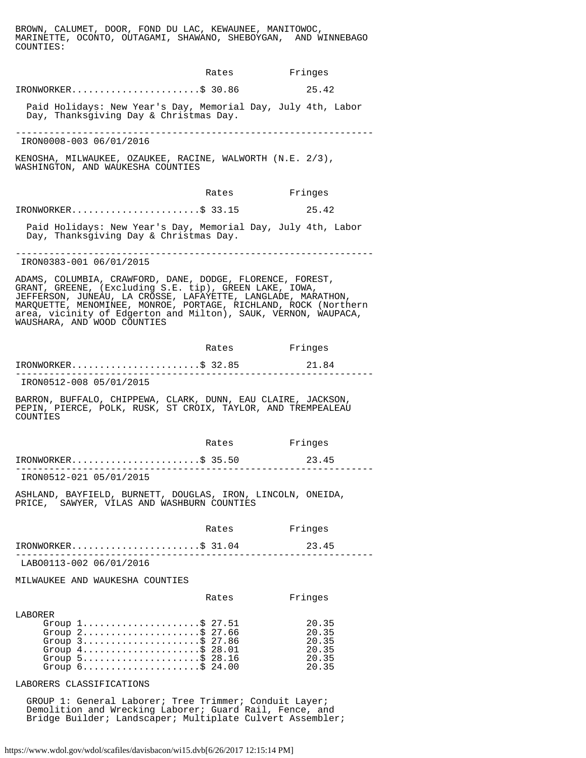BROWN, CALUMET, DOOR, FOND DU LAC, KEWAUNEE, MANITOWOC, MARINETTE, OCONTO, OUTAGAMI, SHAWANO, SHEBOYGAN, AND WINNEBAGO COUNTIES:

|                                                                                                                                                                                                                                                                                                                                                         | Rates                     | Fringes                                            |
|---------------------------------------------------------------------------------------------------------------------------------------------------------------------------------------------------------------------------------------------------------------------------------------------------------------------------------------------------------|---------------------------|----------------------------------------------------|
| $IRONWORKER.$ \$ 30.86                                                                                                                                                                                                                                                                                                                                  |                           | 25.42                                              |
| Paid Holidays: New Year's Day, Memorial Day, July 4th, Labor<br>Day, Thanksgiving Day & Christmas Day.                                                                                                                                                                                                                                                  |                           |                                                    |
| IRON0008-003 06/01/2016                                                                                                                                                                                                                                                                                                                                 |                           |                                                    |
| KENOSHA, MILWAUKEE, OZAUKEE, RACINE, WALWORTH (N.E. 2/3),<br>WASHINGTON, AND WAUKESHA COUNTIES                                                                                                                                                                                                                                                          |                           |                                                    |
|                                                                                                                                                                                                                                                                                                                                                         | Rates Fringes             |                                                    |
| IRONWORKER\$ 33.15                                                                                                                                                                                                                                                                                                                                      |                           | 25.42                                              |
| Paid Holidays: New Year's Day, Memorial Day, July 4th, Labor<br>Day, Thanksgiving Day & Christmas Day.                                                                                                                                                                                                                                                  |                           |                                                    |
| IRON0383-001 06/01/2015                                                                                                                                                                                                                                                                                                                                 |                           |                                                    |
| ADAMS, COLUMBIA, CRAWFORD, DANE, DODGE, FLORENCE, FOREST,<br>GRANT, GREENE, (Excluding S.E. tip), GREEN LAKE, IOWA,<br>JEFFERSON, JUNEAU, LA CROSSE, LAFAYETTE, LANGLADE, MARATHON,<br>MARQUETTE, MENOMINEE, MONROE, PORTAGE, RICHLAND, ROCK (Northern<br>area, vicinity of Edgerton and Milton), SAUK, VERNON, WAUPACA,<br>WAUSHARA, AND WOOD COUNTIES |                           |                                                    |
|                                                                                                                                                                                                                                                                                                                                                         | Rates                     | Fringes                                            |
| $IRONWORKER$ \$ 32.85                                                                                                                                                                                                                                                                                                                                   |                           | 21.84                                              |
| IRON0512-008 05/01/2015                                                                                                                                                                                                                                                                                                                                 |                           |                                                    |
| BARRON, BUFFALO, CHIPPEWA, CLARK, DUNN, EAU CLAIRE, JACKSON,<br>PEPIN, PIERCE, POLK, RUSK, ST CROIX, TAYLOR, AND TREMPEALEAU<br>COUNTIES                                                                                                                                                                                                                |                           |                                                    |
|                                                                                                                                                                                                                                                                                                                                                         | Rates                     | Fringes                                            |
| IRONWORKER\$ 35.50                                                                                                                                                                                                                                                                                                                                      |                           | 23.45                                              |
| IRON0512-021 05/01/2015                                                                                                                                                                                                                                                                                                                                 |                           |                                                    |
| ASHLAND, BAYFIELD, BURNETT, DOUGLAS, IRON, LINCOLN, ONEIDA,<br>PRICE, SAWYER, VILAS AND WASHBURN COUNTIES                                                                                                                                                                                                                                               |                           |                                                    |
|                                                                                                                                                                                                                                                                                                                                                         | Rates                     | Fringes                                            |
| $IRONWORKER$ \$ 31.04                                                                                                                                                                                                                                                                                                                                   | . _ _ _ _ _ _ _ _ _ _ _ _ | 23.45                                              |
| LAB00113-002 06/01/2016                                                                                                                                                                                                                                                                                                                                 |                           |                                                    |
| MILWAUKEE AND WAUKESHA COUNTIES                                                                                                                                                                                                                                                                                                                         |                           |                                                    |
|                                                                                                                                                                                                                                                                                                                                                         | Rates                     | Fringes                                            |
| LABORER<br>Group 1\$ 27.51<br>Group $2 \ldots \ldots \ldots \ldots \ldots \ldots$ \$ 27.66<br>Group 3\$ 27.86<br>Group $4 \ldots \ldots \ldots \ldots \ldots \ldots$ \$ 28.01<br>Group $5 \ldots \ldots \ldots \ldots \ldots \ldots \dot{5}$ 28.16<br>Group $6 \ldots \ldots \ldots \ldots \ldots \ldots$ \$ 24.00                                      |                           | 20.35<br>20.35<br>20.35<br>20.35<br>20.35<br>20.35 |

LABORERS CLASSIFICATIONS

 GROUP 1: General Laborer; Tree Trimmer; Conduit Layer; Demolition and Wrecking Laborer; Guard Rail, Fence, and Bridge Builder; Landscaper; Multiplate Culvert Assembler;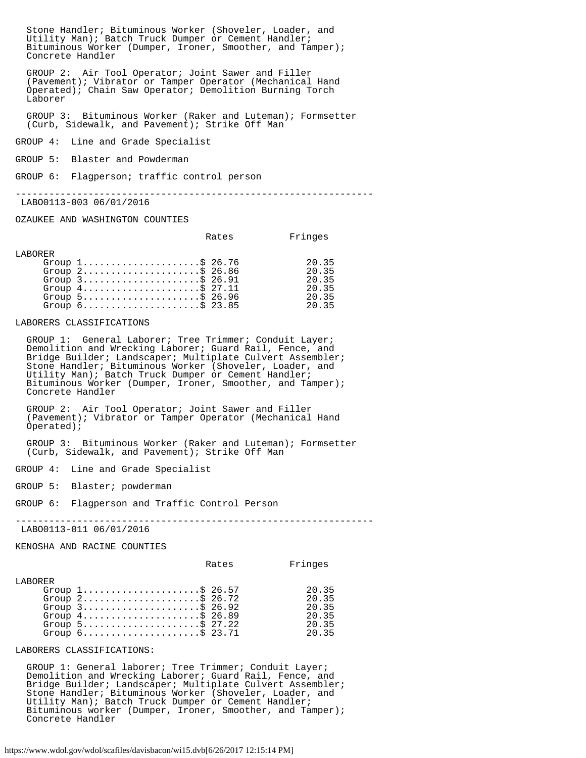Stone Handler; Bituminous Worker (Shoveler, Loader, and Utility Man); Batch Truck Dumper or Cement Handler; Bituminous Worker (Dumper, Ironer, Smoother, and Tamper); Concrete Handler

 GROUP 2: Air Tool Operator; Joint Sawer and Filler (Pavement); Vibrator or Tamper Operator (Mechanical Hand Operated); Chain Saw Operator; Demolition Burning Torch Laborer

 GROUP 3: Bituminous Worker (Raker and Luteman); Formsetter (Curb, Sidewalk, and Pavement); Strike Off Man

GROUP 4: Line and Grade Specialist

GROUP 5: Blaster and Powderman

GROUP 6: Flagperson; traffic control person

----------------------------------------------------------------

LABO0113-003 06/01/2016

OZAUKEE AND WASHINGTON COUNTIES

|          |                                                                                                                                                                                                                                             | Rates | Fringes                                   |
|----------|---------------------------------------------------------------------------------------------------------------------------------------------------------------------------------------------------------------------------------------------|-------|-------------------------------------------|
| T.ARORER | Group $1, \ldots, \ldots, \ldots, \ldots, \$ 26.76<br>Group $2$ ; $36.86$<br>Group $3$ \$ 26.91<br>Group $4 \ldots \ldots \ldots \ldots \ldots \ldots \text{S}$ 27.11<br>Group $5 \ldots \ldots \ldots \ldots \ldots \ldots \text{S}$ 26.96 |       | 20.35<br>20.35<br>20.35<br>20.35<br>20.35 |
|          | Group $6 \ldots \ldots \ldots \ldots \ldots \ldots \text{S}$ 23.85                                                                                                                                                                          |       | 20.35                                     |

LABORERS CLASSIFICATIONS

 GROUP 1: General Laborer; Tree Trimmer; Conduit Layer; Demolition and Wrecking Laborer; Guard Rail, Fence, and Bridge Builder; Landscaper; Multiplate Culvert Assembler; Stone Handler; Bituminous Worker (Shoveler, Loader, and Utility Man); Batch Truck Dumper or Cement Handler; Bituminous Worker (Dumper, Ironer, Smoother, and Tamper); Concrete Handler

 GROUP 2: Air Tool Operator; Joint Sawer and Filler (Pavement); Vibrator or Tamper Operator (Mechanical Hand Operated);

 GROUP 3: Bituminous Worker (Raker and Luteman); Formsetter (Curb, Sidewalk, and Pavement); Strike Off Man

GROUP 4: Line and Grade Specialist

GROUP 5: Blaster; powderman

GROUP 6: Flagperson and Traffic Control Person

----------------------------------------------------------------

LABO0113-011 06/01/2016

KENOSHA AND RACINE COUNTIES

|                |                                                                                                                                                                                                                                                                                                                   | Rates | Fringes                                            |
|----------------|-------------------------------------------------------------------------------------------------------------------------------------------------------------------------------------------------------------------------------------------------------------------------------------------------------------------|-------|----------------------------------------------------|
| <b>LABORER</b> | Group $1, \ldots, \ldots, \ldots, \ldots, \$ 26.57<br>Group $2$ \$ 26.72<br>Group $3$ \$ 26.92<br>Group $4 \ldots \ldots \ldots \ldots \ldots \ldots \text{S}$ 26.89<br>Group $5 \ldots \ldots \ldots \ldots \ldots \ldots \text{ } $27.22$<br>Group $6 \ldots \ldots \ldots \ldots \ldots \ldots \text{S}$ 23.71 |       | 20.35<br>20.35<br>20.35<br>20.35<br>20.35<br>20.35 |
|                |                                                                                                                                                                                                                                                                                                                   |       |                                                    |

LABORERS CLASSIFICATIONS:

 GROUP 1: General laborer; Tree Trimmer; Conduit Layer; Demolition and Wrecking Laborer; Guard Rail, Fence, and Bridge Builder; Landscaper; Multiplate Culvert Assembler; Stone Handler; Bituminous Worker (Shoveler, Loader, and Utility Man); Batch Truck Dumper or Cement Handler; Bituminous worker (Dumper, Ironer, Smoother, and Tamper); Concrete Handler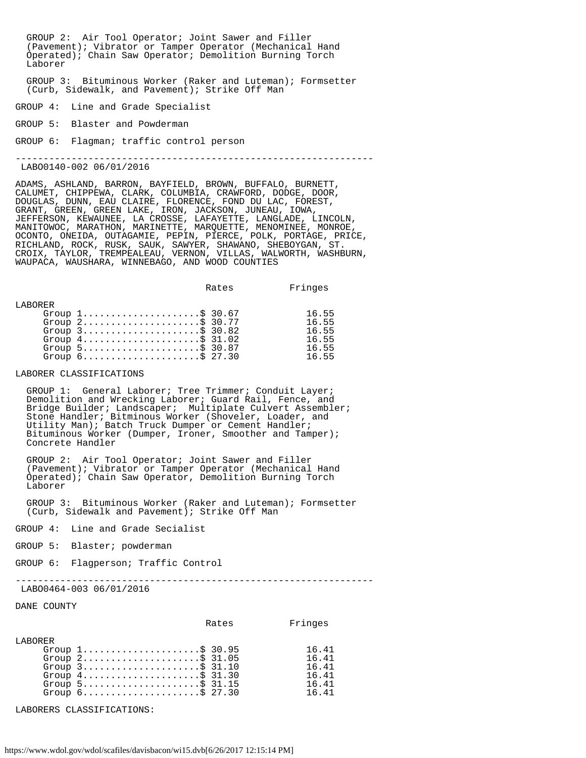GROUP 2: Air Tool Operator; Joint Sawer and Filler (Pavement); Vibrator or Tamper Operator (Mechanical Hand Operated); Chain Saw Operator; Demolition Burning Torch Laborer GROUP 3: Bituminous Worker (Raker and Luteman); Formsetter (Curb, Sidewalk, and Pavement); Strike Off Man GROUP 4: Line and Grade Specialist GROUP 5: Blaster and Powderman GROUP 6: Flagman; traffic control person ---------------------------------------------------------------- LABO0140-002 06/01/2016 ADAMS, ASHLAND, BARRON, BAYFIELD, BROWN, BUFFALO, BURNETT,

CALUMET, CHIPPEWA, CLARK, COLUMBIA, CRAWFORD, DODGE, DOOR, DOUGLAS, DUNN, EAU CLAIRE, FLORENCE, FOND DU LAC, FOREST, GRANT, GREEN, GREEN LAKE, IRON, JACKSON, JUNEAU, IOWA, JEFFERSON, KEWAUNEE, LA CROSSE, LAFAYETTE, LANGLADE, LINCOLN, MANITOWOC, MARATHON, MARINETTE, MARQUETTE, MENOMINEE, MONROE, OCONTO, ONEIDA, OUTAGAMIE, PEPIN, PIERCE, POLK, PORTAGE, PRICE, RICHLAND, ROCK, RUSK, SAUK, SAWYER, SHAWANO, SHEBOYGAN, ST. CROIX, TAYLOR, TREMPEALEAU, VERNON, VILLAS, WALWORTH, WASHBURN, WAUPACA, WAUSHARA, WINNEBAGO, AND WOOD COUNTIES

|          |                                                                    | Rates | Fringes |
|----------|--------------------------------------------------------------------|-------|---------|
| T.ARORER |                                                                    |       |         |
|          | Group $1, \ldots, \ldots, \ldots, \ldots, \$ 30.67                 |       | 16.55   |
|          | Group $2$ \$ 30.77                                                 |       | 16.55   |
|          | Group $3$                                                          |       | 16.55   |
|          | Group $4 \ldots \ldots \ldots \ldots \ldots \ldots \text{S}$ 31.02 |       | 16.55   |
|          | Group $5$                                                          |       | 16.55   |
|          | Group $6 \ldots \ldots \ldots \ldots \ldots \ldots \text{S}$ 27.30 |       | 16.55   |

LABORER CLASSIFICATIONS

 GROUP 1: General Laborer; Tree Trimmer; Conduit Layer; Demolition and Wrecking Laborer; Guard Rail, Fence, and Bridge Builder; Landscaper; Multiplate Culvert Assembler; Stone Handler; Bitminous Worker (Shoveler, Loader, and Utility Man); Batch Truck Dumper or Cement Handler; Bituminous Worker (Dumper, Ironer, Smoother and Tamper); Concrete Handler

 GROUP 2: Air Tool Operator; Joint Sawer and Filler (Pavement); Vibrator or Tamper Operator (Mechanical Hand Operated); Chain Saw Operator, Demolition Burning Torch Laborer

 GROUP 3: Bituminous Worker (Raker and Luteman); Formsetter (Curb, Sidewalk and Pavement); Strike Off Man

GROUP 4: Line and Grade Secialist

GROUP 5: Blaster; powderman

GROUP 6: Flagperson; Traffic Control

----------------------------------------------------------------

LABO0464-003 06/01/2016

DANE COUNTY

|                |                                                                                                                                                                                                                                                 | Rates | Fringes                                            |
|----------------|-------------------------------------------------------------------------------------------------------------------------------------------------------------------------------------------------------------------------------------------------|-------|----------------------------------------------------|
| <b>LABORER</b> | Group $1, \ldots, \ldots, \ldots, \ldots, \$ 30.95<br>Group $2$ \$ 31.05<br>Group $3$<br>Group $4 \ldots \ldots \ldots \ldots \ldots \ldots \text{S}$ 31.30<br>Group $5$<br>Group $6 \ldots \ldots \ldots \ldots \ldots \ldots \ldots$ \$ 27.30 |       | 16.41<br>16.41<br>16.41<br>16.41<br>16.41<br>16.41 |

LABORERS CLASSIFICATIONS: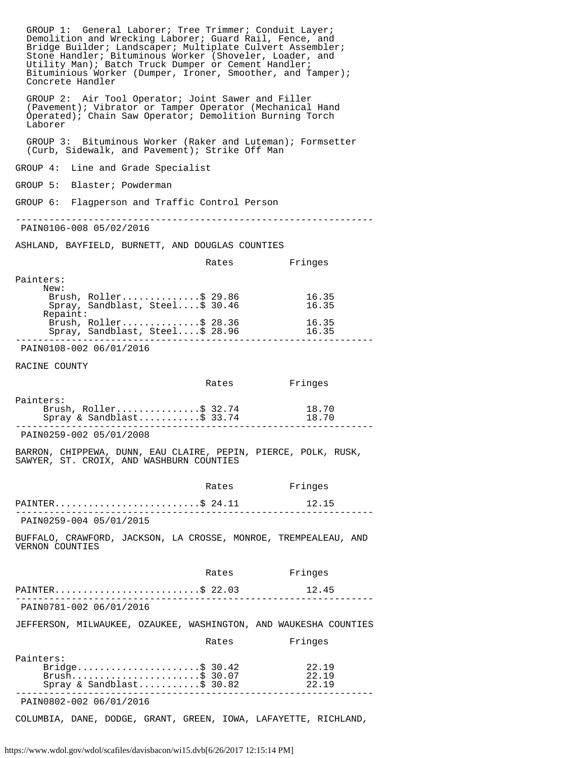| GROUP 1: General Laborer; Tree Trimmer; Conduit Layer;<br>Demolition and Wrecking Laborer; Guard Rail, Fence, and<br>Bridge Builder; Landscaper; Multiplate Culvert Assembler;<br>Stone Handler; Bituminous Worker (Shoveler, Loader, and<br>Utility Man); Batch Truck Dumper or Cement Handler;<br>Bituminious Worker (Dumper, Ironer, Smoother, and Tamper);<br>Concrete Handler |       |                         |  |
|------------------------------------------------------------------------------------------------------------------------------------------------------------------------------------------------------------------------------------------------------------------------------------------------------------------------------------------------------------------------------------|-------|-------------------------|--|
| GROUP 2: Air Tool Operator; Joint Sawer and Filler<br>(Pavement); Vibrator or Tamper Operator (Mechanical Hand<br>Operated); Chain Saw Operator; Demolition Burning Torch<br>Laborer                                                                                                                                                                                               |       |                         |  |
| GROUP 3: Bituminous Worker (Raker and Luteman); Formsetter<br>(Curb, Sidewalk, and Pavement); Strike Off Man                                                                                                                                                                                                                                                                       |       |                         |  |
| GROUP 4: Line and Grade Specialist                                                                                                                                                                                                                                                                                                                                                 |       |                         |  |
| GROUP 5: Blaster; Powderman                                                                                                                                                                                                                                                                                                                                                        |       |                         |  |
| GROUP 6: Flagperson and Traffic Control Person                                                                                                                                                                                                                                                                                                                                     |       |                         |  |
| PAIN0106-008 05/02/2016                                                                                                                                                                                                                                                                                                                                                            |       |                         |  |
| ASHLAND, BAYFIELD, BURNETT, AND DOUGLAS COUNTIES                                                                                                                                                                                                                                                                                                                                   |       |                         |  |
|                                                                                                                                                                                                                                                                                                                                                                                    | Rates | Fringes                 |  |
| Painters:<br>New:<br>Brush, Roller\$ 29.86<br>Spray, Sandblast, Steel\$ 30.46                                                                                                                                                                                                                                                                                                      |       | 16.35<br>16.35          |  |
| Repaint:<br>Brush, Roller\$ 28.36<br>Spray, Sandblast, Steel\$ 28.96                                                                                                                                                                                                                                                                                                               |       | 16.35<br>16.35          |  |
| PAIN0108-002 06/01/2016                                                                                                                                                                                                                                                                                                                                                            |       |                         |  |
| RACINE COUNTY                                                                                                                                                                                                                                                                                                                                                                      |       |                         |  |
|                                                                                                                                                                                                                                                                                                                                                                                    | Rates | Fringes                 |  |
| Painters:<br>Brush, Roller\$ 32.74<br>Spray & Sandblast\$ 33.74                                                                                                                                                                                                                                                                                                                    |       | 18.70<br>18.70          |  |
| PAIN0259-002 05/01/2008                                                                                                                                                                                                                                                                                                                                                            |       |                         |  |
| BARRON, CHIPPEWA, DUNN, EAU CLAIRE, PEPIN, PIERCE, POLK, RUSK,<br>SAWYER, ST. CROIX, AND WASHBURN COUNTIES                                                                                                                                                                                                                                                                         |       |                         |  |
|                                                                                                                                                                                                                                                                                                                                                                                    | Rates | Fringes                 |  |
| PAINTER\$ $24.11$                                                                                                                                                                                                                                                                                                                                                                  |       | 12.15                   |  |
| PAIN0259-004 05/01/2015                                                                                                                                                                                                                                                                                                                                                            |       |                         |  |
| BUFFALO, CRAWFORD, JACKSON, LA CROSSE, MONROE, TREMPEALEAU, AND<br>VERNON COUNTIES                                                                                                                                                                                                                                                                                                 |       |                         |  |
|                                                                                                                                                                                                                                                                                                                                                                                    | Rates | Fringes                 |  |
| PAINTER\$ 22.03<br>PAIN0781-002 06/01/2016                                                                                                                                                                                                                                                                                                                                         |       | 12.45                   |  |
| JEFFERSON, MILWAUKEE, OZAUKEE, WASHINGTON, AND WAUKESHA COUNTIES                                                                                                                                                                                                                                                                                                                   |       |                         |  |
|                                                                                                                                                                                                                                                                                                                                                                                    | Rates | Fringes                 |  |
| Painters:<br>Bridge\$ 30.42<br>Brush\$ 30.07<br>Spray & Sandblast\$ 30.82                                                                                                                                                                                                                                                                                                          |       | 22.19<br>22.19<br>22.19 |  |
| PAIN0802-002 06/01/2016                                                                                                                                                                                                                                                                                                                                                            |       |                         |  |

COLUMBIA, DANE, DODGE, GRANT, GREEN, IOWA, LAFAYETTE, RICHLAND,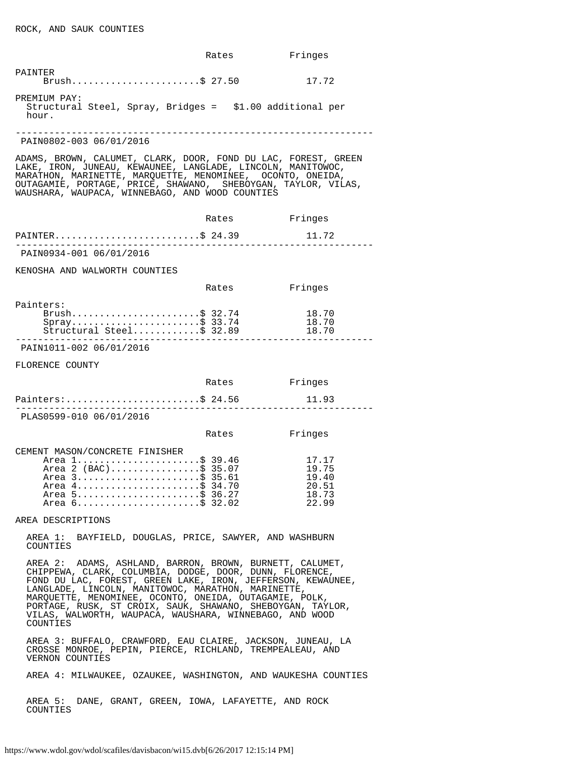|                                                                                                                                                                                                                                                                                                                                                                                                                                         | Rates         | Fringes                                            |
|-----------------------------------------------------------------------------------------------------------------------------------------------------------------------------------------------------------------------------------------------------------------------------------------------------------------------------------------------------------------------------------------------------------------------------------------|---------------|----------------------------------------------------|
| PAINTER<br>Brush\$ 27.50                                                                                                                                                                                                                                                                                                                                                                                                                |               | 17.72                                              |
| PREMIUM PAY:<br>Structural Steel, Spray, Bridges = \$1.00 additional per<br>hour.                                                                                                                                                                                                                                                                                                                                                       |               |                                                    |
| PAIN0802-003 06/01/2016                                                                                                                                                                                                                                                                                                                                                                                                                 |               |                                                    |
| ADAMS, BROWN, CALUMET, CLARK, DOOR, FOND DU LAC, FOREST, GREEN<br>LAKE, IRON, JUNEAU, KEWAUNEE, LANGLADE, LINCOLN, MANITOWOC,<br>MARATHON, MARINETTE, MARQUETTE, MENOMINEE, OCONTO, ONEIDA,<br>OUTAGAMIE, PORTAGE, PRICE, SHAWANO, SHEBOYGAN, TAYLOR, VILAS,<br>WAUSHARA, WAUPACA, WINNEBAGO, AND WOOD COUNTIES                                                                                                                         |               |                                                    |
|                                                                                                                                                                                                                                                                                                                                                                                                                                         | Rates         | Fringes                                            |
| PAINTER\$ 24.39                                                                                                                                                                                                                                                                                                                                                                                                                         |               | 11.72                                              |
| PAIN0934-001 06/01/2016                                                                                                                                                                                                                                                                                                                                                                                                                 |               |                                                    |
| KENOSHA AND WALWORTH COUNTIES                                                                                                                                                                                                                                                                                                                                                                                                           |               |                                                    |
|                                                                                                                                                                                                                                                                                                                                                                                                                                         | Rates         | Fringes                                            |
| Painters:<br>Brush\$ 32.74<br>Spray\$ 33.74<br>Structural Steel\$ 32.89                                                                                                                                                                                                                                                                                                                                                                 |               | 18.70<br>18.70<br>18.70                            |
| PAIN1011-002 06/01/2016                                                                                                                                                                                                                                                                                                                                                                                                                 |               |                                                    |
| FLORENCE COUNTY                                                                                                                                                                                                                                                                                                                                                                                                                         |               |                                                    |
|                                                                                                                                                                                                                                                                                                                                                                                                                                         | Rates Fringes |                                                    |
| Painters:\$ 24.56                                                                                                                                                                                                                                                                                                                                                                                                                       |               | 11.93                                              |
| PLAS0599-010 06/01/2016                                                                                                                                                                                                                                                                                                                                                                                                                 |               |                                                    |
|                                                                                                                                                                                                                                                                                                                                                                                                                                         | Rates         | Fringes                                            |
| CEMENT MASON/CONCRETE FINISHER<br>Area 1\$ 39.46<br>Area 2 (BAC)\$ 35.07<br>Area 3\$ 35.61<br>Area 4\$ 34.70<br>Area 5\$ 36.27<br>Area 6\$ 32.02                                                                                                                                                                                                                                                                                        |               | 17.17<br>19.75<br>19.40<br>20.51<br>18.73<br>22.99 |
| AREA DESCRIPTIONS                                                                                                                                                                                                                                                                                                                                                                                                                       |               |                                                    |
| AREA 1: BAYFIELD, DOUGLAS, PRICE, SAWYER, AND WASHBURN<br>COUNTIES                                                                                                                                                                                                                                                                                                                                                                      |               |                                                    |
| AREA 2: ADAMS, ASHLAND, BARRON, BROWN, BURNETT, CALUMET,<br>CHIPPEWA, CLARK, COLUMBIA, DODGE, DOOR, DUNN, FLORENCE,<br>FOND DU LAC, FOREST, GREEN LAKE, IRON, JEFFERSON, KEWAUNEE,<br>LANGLADE, LINCOLN, MANITOWOC, MARATHON, MARINETTE,<br>MARQUETTE, MENOMINEE, OCONTO, ONEIDA, OUTAGAMIE, POLK,<br>PORTAGE, RUSK, ST CROIX, SAUK, SHAWANO, SHEBOYGAN, TAYLOR,<br>VILAS, WALWORTH, WAUPACA, WAUSHARA, WINNEBAGO, AND WOOD<br>COUNTIES |               |                                                    |
| AREA 3: BUFFALO, CRAWFORD, EAU CLAIRE, JACKSON, JUNEAU, LA<br>CROSSE MONROE, PEPIN, PIERCE, RICHLAND, TREMPEALEAU, AND<br>VERNON COUNTIES                                                                                                                                                                                                                                                                                               |               |                                                    |
| AREA 4: MILWAUKEE, OZAUKEE, WASHINGTON, AND WAUKESHA COUNTIES                                                                                                                                                                                                                                                                                                                                                                           |               |                                                    |
| AREA 5:<br>DANE, GRANT, GREEN, IOWA, LAFAYETTE, AND ROCK<br>COUNTIES                                                                                                                                                                                                                                                                                                                                                                    |               |                                                    |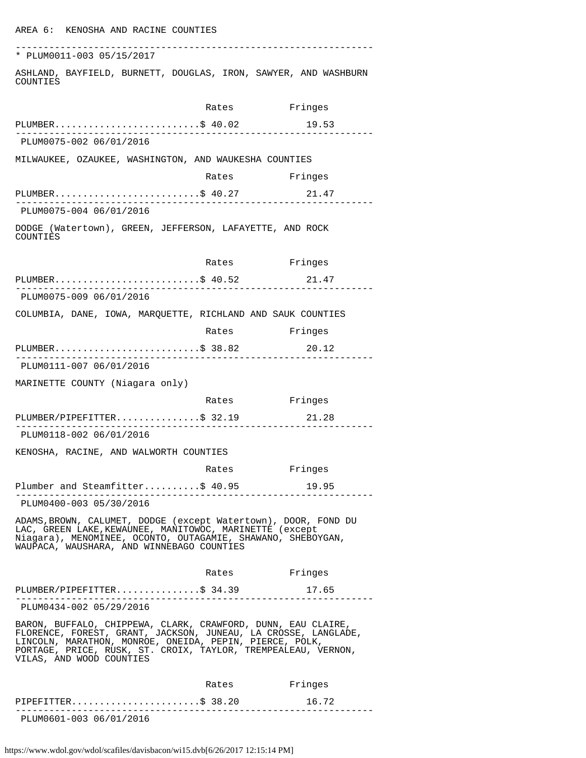| * PLUM0011-003 05/15/2017                                                                                                                                                                                                                                                              |               |         |
|----------------------------------------------------------------------------------------------------------------------------------------------------------------------------------------------------------------------------------------------------------------------------------------|---------------|---------|
| ASHLAND, BAYFIELD, BURNETT, DOUGLAS, IRON, SAWYER, AND WASHBURN<br>COUNTIES                                                                                                                                                                                                            |               |         |
|                                                                                                                                                                                                                                                                                        | Rates Fringes |         |
| PLUMBER\$ 40.02                                                                                                                                                                                                                                                                        |               | 19.53   |
| PLUM0075-002 06/01/2016                                                                                                                                                                                                                                                                |               |         |
| MILWAUKEE, OZAUKEE, WASHINGTON, AND WAUKESHA COUNTIES                                                                                                                                                                                                                                  |               |         |
|                                                                                                                                                                                                                                                                                        | Rates Fringes |         |
| PLUMBER\$ 40.27 21.47                                                                                                                                                                                                                                                                  |               |         |
| PLUM0075-004 06/01/2016                                                                                                                                                                                                                                                                |               |         |
| DODGE (Watertown), GREEN, JEFFERSON, LAFAYETTE, AND ROCK<br>COUNTIES                                                                                                                                                                                                                   |               |         |
|                                                                                                                                                                                                                                                                                        | Rates Fringes |         |
| PLUMBER\$ 40.52                                                                                                                                                                                                                                                                        |               | 21.47   |
| PLUM0075-009 06/01/2016                                                                                                                                                                                                                                                                |               |         |
| COLUMBIA, DANE, IOWA, MARQUETTE, RICHLAND AND SAUK COUNTIES                                                                                                                                                                                                                            |               |         |
|                                                                                                                                                                                                                                                                                        | Rates         | Fringes |
| PLUMBER\$ 38.82 20.12                                                                                                                                                                                                                                                                  |               |         |
| PLUM0111-007 06/01/2016                                                                                                                                                                                                                                                                |               |         |
| MARINETTE COUNTY (Niagara only)                                                                                                                                                                                                                                                        |               |         |
|                                                                                                                                                                                                                                                                                        | Rates         | Fringes |
| PLUMBER/PIPEFITTER\$ 32.19                                                                                                                                                                                                                                                             |               | 21.28   |
| PLUM0118-002 06/01/2016                                                                                                                                                                                                                                                                |               |         |
| KENOSHA, RACINE, AND WALWORTH COUNTIES                                                                                                                                                                                                                                                 |               |         |
|                                                                                                                                                                                                                                                                                        | Rates         | Fringes |
| Plumber and Steamfitter\$ 40.95 19.95                                                                                                                                                                                                                                                  |               |         |
| PLUM0400-003 05/30/2016                                                                                                                                                                                                                                                                |               |         |
| ADAMS, BROWN, CALUMET, DODGE (except Watertown), DOOR, FOND DU<br>LAC, GREEN LAKE, KEWAUNEE, MANITOWOC, MARINETTE (except<br>Niagara), MENOMINEE, OCONTO, OUTAGAMIE, SHAWANO, SHEBOYGAN,<br>WAUPACA, WAUSHARA, AND WINNEBAGO COUNTIES                                                  |               |         |
|                                                                                                                                                                                                                                                                                        | Rates Fringes |         |
| PLUMBER/PIPEFITTER\$ 34.39 17.65                                                                                                                                                                                                                                                       |               |         |
| PLUM0434-002 05/29/2016                                                                                                                                                                                                                                                                |               |         |
| BARON, BUFFALO, CHIPPEWA, CLARK, CRAWFORD, DUNN, EAU CLAIRE,<br>FLORENCE, FOREST, GRANT, JACKSON, JUNEAU, LA CROSSE, LANGLADE,<br>LINCOLN, MARATHON, MONROE, ONEIDA, PEPIN, PIERCE, POLK,<br>PORTAGE, PRICE, RUSK, ST. CROIX, TAYLOR, TREMPEALEAU, VERNON,<br>VILAS, AND WOOD COUNTIES |               |         |
|                                                                                                                                                                                                                                                                                        | Rates         | Fringes |
| PIPEFITTER\$ 38.20                                                                                                                                                                                                                                                                     |               | 16.72   |
|                                                                                                                                                                                                                                                                                        |               |         |

PLUM0601-003 06/01/2016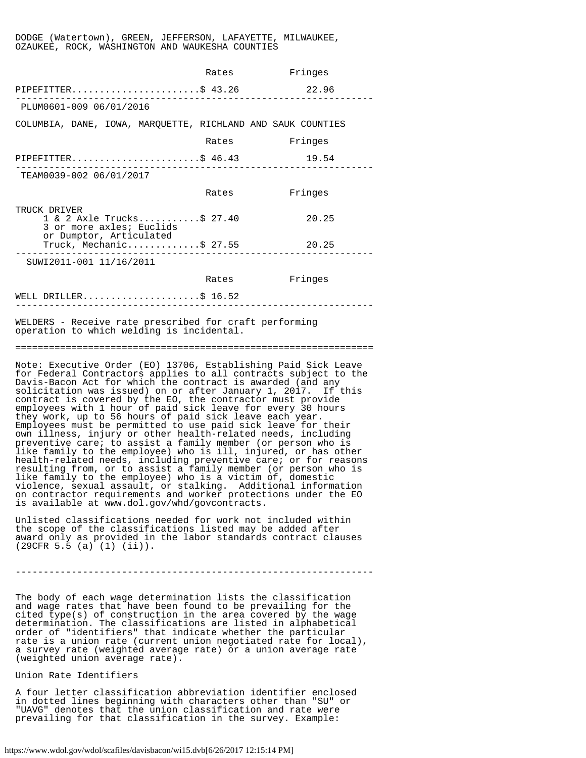#### DODGE (Watertown), GREEN, JEFFERSON, LAFAYETTE, MILWAUKEE, OZAUKEE, ROCK, WASHINGTON AND WAUKESHA COUNTIES

|                                                                                                                                                                                                                                                                                                                                                                                                                                                                                                                                                                                                                                                                                                                                                                                                                                                                                                                                                                                                                                                                                                                                                                                     | Rates         | Fringes |
|-------------------------------------------------------------------------------------------------------------------------------------------------------------------------------------------------------------------------------------------------------------------------------------------------------------------------------------------------------------------------------------------------------------------------------------------------------------------------------------------------------------------------------------------------------------------------------------------------------------------------------------------------------------------------------------------------------------------------------------------------------------------------------------------------------------------------------------------------------------------------------------------------------------------------------------------------------------------------------------------------------------------------------------------------------------------------------------------------------------------------------------------------------------------------------------|---------------|---------|
| PIPEFITTER\$ 43.26                                                                                                                                                                                                                                                                                                                                                                                                                                                                                                                                                                                                                                                                                                                                                                                                                                                                                                                                                                                                                                                                                                                                                                  |               | 22.96   |
| PLUM0601-009 06/01/2016                                                                                                                                                                                                                                                                                                                                                                                                                                                                                                                                                                                                                                                                                                                                                                                                                                                                                                                                                                                                                                                                                                                                                             |               |         |
| COLUMBIA, DANE, IOWA, MARQUETTE, RICHLAND AND SAUK COUNTIES                                                                                                                                                                                                                                                                                                                                                                                                                                                                                                                                                                                                                                                                                                                                                                                                                                                                                                                                                                                                                                                                                                                         |               |         |
|                                                                                                                                                                                                                                                                                                                                                                                                                                                                                                                                                                                                                                                                                                                                                                                                                                                                                                                                                                                                                                                                                                                                                                                     | Rates         | Fringes |
| PIPEFITTER\$ 46.43<br>.                                                                                                                                                                                                                                                                                                                                                                                                                                                                                                                                                                                                                                                                                                                                                                                                                                                                                                                                                                                                                                                                                                                                                             |               | 19.54   |
| TEAM0039-002 06/01/2017                                                                                                                                                                                                                                                                                                                                                                                                                                                                                                                                                                                                                                                                                                                                                                                                                                                                                                                                                                                                                                                                                                                                                             |               |         |
|                                                                                                                                                                                                                                                                                                                                                                                                                                                                                                                                                                                                                                                                                                                                                                                                                                                                                                                                                                                                                                                                                                                                                                                     | Rates         | Fringes |
| TRUCK DRIVER<br>1 & 2 Axle Trucks\$ 27.40<br>3 or more axles; Euclids<br>or Dumptor, Articulated                                                                                                                                                                                                                                                                                                                                                                                                                                                                                                                                                                                                                                                                                                                                                                                                                                                                                                                                                                                                                                                                                    |               | 20.25   |
| Truck, Mechanic\$ 27.55                                                                                                                                                                                                                                                                                                                                                                                                                                                                                                                                                                                                                                                                                                                                                                                                                                                                                                                                                                                                                                                                                                                                                             |               | 20.25   |
| SUWI2011-001 11/16/2011                                                                                                                                                                                                                                                                                                                                                                                                                                                                                                                                                                                                                                                                                                                                                                                                                                                                                                                                                                                                                                                                                                                                                             |               |         |
|                                                                                                                                                                                                                                                                                                                                                                                                                                                                                                                                                                                                                                                                                                                                                                                                                                                                                                                                                                                                                                                                                                                                                                                     | Rates Fringes |         |
| WELL DRILLER\$ $16.52$                                                                                                                                                                                                                                                                                                                                                                                                                                                                                                                                                                                                                                                                                                                                                                                                                                                                                                                                                                                                                                                                                                                                                              |               |         |
| WELDERS - Receive rate prescribed for craft performing<br>operation to which welding is incidental.                                                                                                                                                                                                                                                                                                                                                                                                                                                                                                                                                                                                                                                                                                                                                                                                                                                                                                                                                                                                                                                                                 |               |         |
|                                                                                                                                                                                                                                                                                                                                                                                                                                                                                                                                                                                                                                                                                                                                                                                                                                                                                                                                                                                                                                                                                                                                                                                     |               |         |
| Note: Executive Order (EO) 13706, Establishing Paid Sick Leave<br>for Federal Contractors applies to all contracts subject to the<br>Davis-Bacon Act for which the contract is awarded (and any<br>solicitation was issued) on or after January 1, 2017.<br>If this<br>contract is covered by the EO, the contractor must provide<br>employees with 1 hour of paid sick leave for every 30 hours<br>they work, up to 56 hours of paid sick leave each year.<br>Employees must be permitted to use paid sick leave for their<br>own illness, injury or other health-related needs, including<br>preventive care; to assist a family member (or person who is<br>like family to the employee) who is ill, injured, or has other<br>health-related needs, including preventive care; or for reasons<br>resulting from, or to assist a family member (or person who is<br>like family to the employee) who is a victim of, domestic<br>violence, sexual assault, or stalking. Additional information<br>on contractor requirements and worker protections under the EO<br>is available at www.dol.gov/whd/govcontracts.<br>Unlisted classifications needed for work not included within |               |         |
| the scope of the classifications listed may be added after<br>award only as provided in the labor standards contract clauses                                                                                                                                                                                                                                                                                                                                                                                                                                                                                                                                                                                                                                                                                                                                                                                                                                                                                                                                                                                                                                                        |               |         |

----------------------------------------------------------------

The body of each wage determination lists the classification and wage rates that have been found to be prevailing for the cited type(s) of construction in the area covered by the wage determination. The classifications are listed in alphabetical order of "identifiers" that indicate whether the particular rate is a union rate (current union negotiated rate for local), a survey rate (weighted average rate) or a union average rate (weighted union average rate).

Union Rate Identifiers

(29CFR 5.5 (a) (1) (ii)).

A four letter classification abbreviation identifier enclosed in dotted lines beginning with characters other than "SU" or "UAVG" denotes that the union classification and rate were prevailing for that classification in the survey. Example: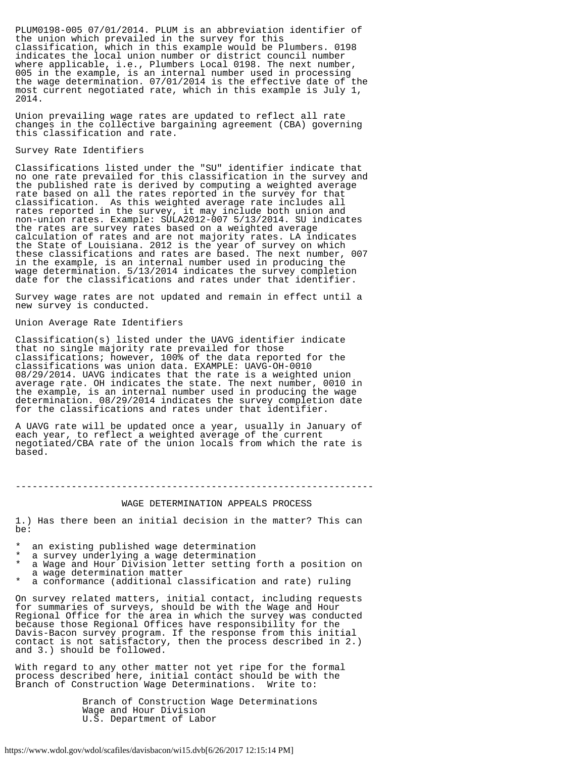PLUM0198-005 07/01/2014. PLUM is an abbreviation identifier of the union which prevailed in the survey for this classification, which in this example would be Plumbers. 0198 indicates the local union number or district council number where applicable, i.e., Plumbers Local 0198. The next number, 005 in the example, is an internal number used in processing the wage determination. 07/01/2014 is the effective date of the most current negotiated rate, which in this example is July 1, 2014.

Union prevailing wage rates are updated to reflect all rate changes in the collective bargaining agreement (CBA) governing this classification and rate.

### Survey Rate Identifiers

Classifications listed under the "SU" identifier indicate that no one rate prevailed for this classification in the survey and the published rate is derived by computing a weighted average rate based on all the rates reported in the survey for that classification. As this weighted average rate includes all rates reported in the survey, it may include both union and non-union rates. Example: SULA2012-007 5/13/2014. SU indicates the rates are survey rates based on a weighted average calculation of rates and are not majority rates. LA indicates the State of Louisiana. 2012 is the year of survey on which these classifications and rates are based. The next number, 007 in the example, is an internal number used in producing the wage determination. 5/13/2014 indicates the survey completion date for the classifications and rates under that identifier.

Survey wage rates are not updated and remain in effect until a new survey is conducted.

Union Average Rate Identifiers

Classification(s) listed under the UAVG identifier indicate that no single majority rate prevailed for those classifications; however, 100% of the data reported for the classifications was union data. EXAMPLE: UAVG-OH-0010 08/29/2014. UAVG indicates that the rate is a weighted union average rate. OH indicates the state. The next number, 0010 in the example, is an internal number used in producing the wage determination. 08/29/2014 indicates the survey completion date for the classifications and rates under that identifier.

A UAVG rate will be updated once a year, usually in January of each year, to reflect a weighted average of the current negotiated/CBA rate of the union locals from which the rate is based.

----------------------------------------------------------------

## WAGE DETERMINATION APPEALS PROCESS

1.) Has there been an initial decision in the matter? This can be:

- an existing published wage determination
- a survey underlying a wage determination
- a Wage and Hour Division letter setting forth a position on a wage determination matter
- a conformance (additional classification and rate) ruling

On survey related matters, initial contact, including requests for summaries of surveys, should be with the Wage and Hour Regional Office for the area in which the survey was conducted because those Regional Offices have responsibility for the Davis-Bacon survey program. If the response from this initial contact is not satisfactory, then the process described in 2.) and 3.) should be followed.

With regard to any other matter not yet ripe for the formal process described here, initial contact should be with the Branch of Construction Wage Determinations. Write to:

> Branch of Construction Wage Determinations Wage and Hour Division U.S. Department of Labor